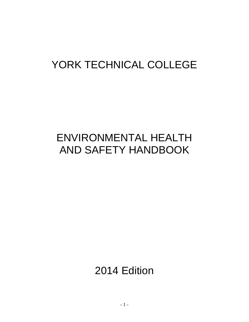# YORK TECHNICAL COLLEGE

# ENVIRONMENTAL HEALTH AND SAFETY HANDBOOK

2014 Edition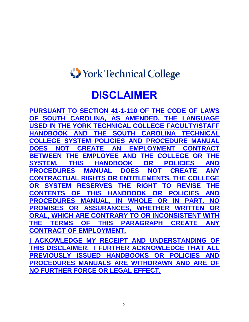# <span id="page-1-0"></span>York Technical College

# **DISCLAIMER**

<span id="page-1-1"></span>**PURSUANT TO SECTION 41-1-110 OF THE CODE OF LAWS OF SOUTH CAROLINA, AS AMENDED, THE LANGUAGE USED IN THE YORK TECHNICAL COLLEGE FACULTY/STAFF HANDBOOK AND THE SOUTH CAROLINA TECHNICAL COLLEGE SYSTEM POLICIES AND PROCEDURE MANUAL DOES NOT CREATE AN EMPLOYMENT CONTRACT BETWEEN THE EMPLOYEE AND THE COLLEGE OR<br>SYSTEM. THIS HANDBOOK OR POLICIES THIS HANDBOOK OR POLICIES AND PROCEDURES MANUAL DOES NOT CREATE ANY CONTRACTUAL RIGHTS OR ENTITLEMENTS. THE COLLEGE SYSTEM RESERVES THE RIGHT TO REVISE THE CONTENTS OF THIS HANDBOOK OR POLICIES AND PROCEDURES MANUAL, IN WHOLE OR IN PART. NO PROMISES OR ASSURANCES, WHETHER WRITTEN OR ORAL, WHICH ARE CONTRARY TO OR INCONSISTENT WITH THE TERMS OF THIS PARAGRAPH CREATE ANY CONTRACT OF EMPLOYMENT.** 

**I ACKOWLEDGE MY RECEIPT AND UNDERSTANDING OF THIS DISCLAIMER. I FURTHER ACKNOWLEDGE THAT ALL PREVIOUSLY ISSUED HANDBOOKS OR POLICIES AND PROCEDURES MANUALS ARE WITHDRAWN AND ARE OF NO FURTHER FORCE OR LEGAL EFFECT.**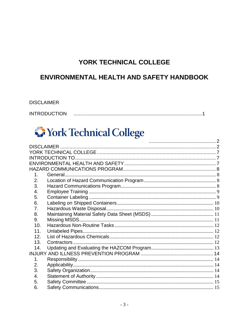## YORK TECHNICAL COLLEGE

## **ENVIRONMENTAL HEALTH AND SAFETY HANDBOOK**

#### **DISCLAIMER INTRODUCTION**

# **S** York Technical College

| 1.  |  |
|-----|--|
| 2.  |  |
| 3.  |  |
| 4.  |  |
| 5.  |  |
| 6.  |  |
| 7.  |  |
| 8.  |  |
| 9.  |  |
| 10. |  |
| 11. |  |
| 12. |  |
| 13. |  |
| 14. |  |
|     |  |
| 1.  |  |
| 2.  |  |
| 3.  |  |
| 4.  |  |
| 5.  |  |
| 6.  |  |
|     |  |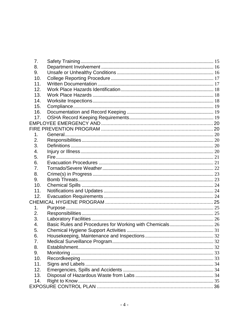| 7.  |  |
|-----|--|
| 8.  |  |
| 9.  |  |
| 10. |  |
| 11. |  |
| 12. |  |
| 13. |  |
| 14. |  |
| 15. |  |
| 16. |  |
| 17. |  |
|     |  |
|     |  |
| 1.  |  |
| 2.  |  |
| 3.  |  |
| 4.  |  |
| 5.  |  |
| 6.  |  |
| 7.  |  |
| 8.  |  |
| 9.  |  |
| 10. |  |
| 11. |  |
| 12. |  |
|     |  |
| 1.  |  |
| 2.  |  |
| 3.  |  |
| 4.  |  |
| 5.  |  |
| 6.  |  |
| 7.  |  |
| 8.  |  |
| 9.  |  |
| 10. |  |
| 11. |  |
| 12. |  |
| 13. |  |
| 14. |  |
|     |  |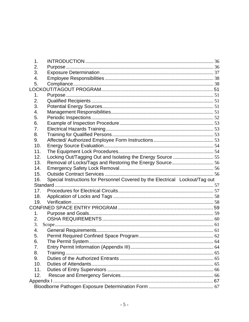| 1.             |                                                                              |  |
|----------------|------------------------------------------------------------------------------|--|
| 2.             |                                                                              |  |
| 3.             |                                                                              |  |
| 4.             |                                                                              |  |
| 5.             |                                                                              |  |
|                |                                                                              |  |
| 1.             |                                                                              |  |
| 2.             |                                                                              |  |
| 3.             |                                                                              |  |
| 4.             |                                                                              |  |
| 5.             |                                                                              |  |
| 6.             |                                                                              |  |
| 7.             |                                                                              |  |
| 8.             |                                                                              |  |
| 9.             |                                                                              |  |
| 10.            |                                                                              |  |
| 11.            |                                                                              |  |
| 12.            |                                                                              |  |
| 13.            | Removal of Locks/Tags and Restoring the Energy Source 56                     |  |
| 14.            |                                                                              |  |
|                |                                                                              |  |
| 15.            |                                                                              |  |
| 16.            | Special Instructions for Personnel Covered by the Electrical Lockout/Tag out |  |
|                |                                                                              |  |
| 17.            |                                                                              |  |
| 18.            |                                                                              |  |
| 19.            |                                                                              |  |
|                |                                                                              |  |
| 1 <sub>1</sub> |                                                                              |  |
| 2.             |                                                                              |  |
| 3.             |                                                                              |  |
| 4.             |                                                                              |  |
| 5.             |                                                                              |  |
| 6.             |                                                                              |  |
| 7.             |                                                                              |  |
| 8.             | Training                                                                     |  |
| 9.             |                                                                              |  |
| 10.            |                                                                              |  |
| 11.            |                                                                              |  |
| 12.            |                                                                              |  |
|                |                                                                              |  |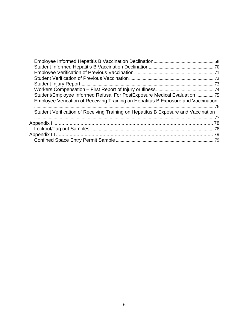| Student/Employee Informed Refusal For PostExposure Medical Evaluation  75          |  |
|------------------------------------------------------------------------------------|--|
| Employee Verication of Receiving Training on Hepatitus B Exposure and Vaccination  |  |
|                                                                                    |  |
| Student Verification of Receiving Training on Hepatitus B Exposure and Vaccination |  |
|                                                                                    |  |
|                                                                                    |  |
|                                                                                    |  |
|                                                                                    |  |
|                                                                                    |  |
|                                                                                    |  |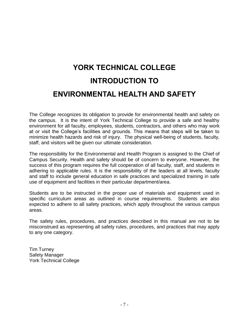# <span id="page-6-1"></span><span id="page-6-0"></span>**YORK TECHNICAL COLLEGE INTRODUCTION TO ENVIRONMENTAL HEALTH AND SAFETY**

<span id="page-6-2"></span>The College recognizes its obligation to provide for environmental health and safety on the campus. It is the intent of York Technical College to provide a safe and healthy environment for all faculty, employees, students, contractors, and others who may work at or visit the College's facilities and grounds. This means that steps will be taken to minimize health hazards and risk of injury. The physical well-being of students, faculty, staff, and visitors will be given our ultimate consideration.

The responsibility for the Environmental and Health Program is assigned to the Chief of Campus Security. Health and safety should be of concern to everyone. However, the success of this program requires the full cooperation of all faculty, staff, and students in adhering to applicable rules. It is the responsibility of the leaders at all levels, faculty and staff to include general education in safe practices and specialized training in safe use of equipment and facilities in their particular department/area.

Students are to be instructed in the proper use of materials and equipment used in specific curriculum areas as outlined in course requirements. Students are also expected to adhere to all safety practices, which apply throughout the various campus areas.

The safety rules, procedures, and practices described in this manual are not to be misconstrued as representing all safety rules, procedures, and practices that may apply to any one category.

Tim Turney Safety Manager York Technical College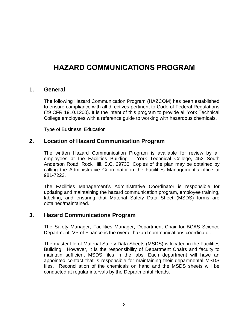## <span id="page-7-0"></span>**HAZARD COMMUNICATIONS PROGRAM**

#### <span id="page-7-1"></span>**1. General**

The following Hazard Communication Program (HAZCOM) has been established to ensure compliance with all directives pertinent to Code of Federal Regulations (29 CFR 1910.1200). It is the intent of this program to provide all York Technical College employees with a reference guide to working with hazardous chemicals.

Type of Business: Education

#### <span id="page-7-2"></span>**2. Location of Hazard Communication Program**

The written Hazard Communication Program is available for review by all employees at the Facilities Building – York Technical College, 452 South Anderson Road, Rock Hill, S.C. 29730. Copies of the plan may be obtained by calling the Administrative Coordinator in the Facilities Management's office at 981-7223.

The Facilities Management's Administrative Coordinator is responsible for updating and maintaining the hazard communication program, employee training, labeling, and ensuring that Material Safety Data Sheet (MSDS) forms are obtained/maintained.

#### <span id="page-7-3"></span>**3. Hazard Communications Program**

The Safety Manager, Facilities Manager, Department Chair for BCAS Science Department, VP of Finance is the overall hazard communications coordinator.

The master file of Material Safety Data Sheets (MSDS) is located in the Facilities Building. However, it is the responsibility of Department Chairs and faculty to maintain sufficient MSDS files in the labs. Each department will have an appointed contact that is responsible for maintaining their departmental MSDS files. Reconciliation of the chemicals on hand and the MSDS sheets will be conducted at regular intervals by the Departmental Heads.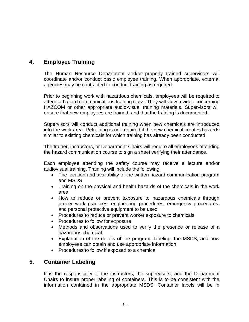## <span id="page-8-0"></span>**4. Employee Training**

The Human Resource Department and/or properly trained supervisors will coordinate and/or conduct basic employee training. When appropriate, external agencies may be contracted to conduct training as required.

Prior to beginning work with hazardous chemicals, employees will be required to attend a hazard communications training class. They will view a video concerning HAZCOM or other appropriate audio-visual training materials. Supervisors will ensure that new employees are trained, and that the training is documented.

Supervisors will conduct additional training when new chemicals are introduced into the work area. Retraining is not required if the new chemical creates hazards similar to existing chemicals for which training has already been conducted.

The trainer, instructors, or Department Chairs will require all employees attending the hazard communication course to sign a sheet verifying their attendance.

Each employee attending the safety course may receive a lecture and/or audiovisual training. Training will include the following:

- The location and availability of the written hazard communication program and MSDS
- Training on the physical and health hazards of the chemicals in the work area
- How to reduce or prevent exposure to hazardous chemicals through proper work practices, engineering procedures, emergency procedures, and personal protective equipment to be used
- Procedures to reduce or prevent worker exposure to chemicals
- Procedures to follow for exposure
- Methods and observations used to verify the presence or release of a hazardous chemical.
- Explanation of the details of the program, labeling, the MSDS, and how employees can obtain and use appropriate information
- Procedures to follow if exposed to a chemical

## <span id="page-8-1"></span>**5. Container Labeling**

It is the responsibility of the instructors, the supervisors, and the Department Chairs to insure proper labeling of containers. This is to be consistent with the information contained in the appropriate MSDS. Container labels will be in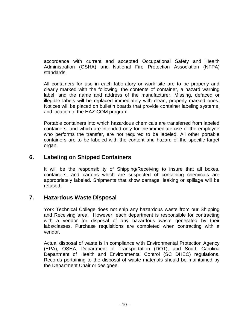accordance with current and accepted Occupational Safety and Health Administration (OSHA) and National Fire Protection Association (NFPA) standards.

All containers for use in each laboratory or work site are to be properly and clearly marked with the following: the contents of container, a hazard warning label, and the name and address of the manufacturer. Missing, defaced or illegible labels will be replaced immediately with clean, properly marked ones. Notices will be placed on bulletin boards that provide container labeling systems, and location of the HAZ-COM program.

Portable containers into which hazardous chemicals are transferred from labeled containers, and which are intended only for the immediate use of the employee who performs the transfer, are not required to be labeled. All other portable containers are to be labeled with the content and hazard of the specific target organ.

### <span id="page-9-0"></span>**6. Labeling on Shipped Containers**

It will be the responsibility of Shipping/Receiving to insure that all boxes, containers, and cartons which are suspected of containing chemicals are appropriately labeled. Shipments that show damage, leaking or spillage will be refused.

#### <span id="page-9-1"></span>**7. Hazardous Waste Disposal**

York Technical College does not ship any hazardous waste from our Shipping and Receiving area. However, each department is responsible for contracting with a vendor for disposal of any hazardous waste generated by their labs/classes. Purchase requisitions are completed when contracting with a vendor.

Actual disposal of waste is in compliance with Environmental Protection Agency (EPA), OSHA, Department of Transportation (DOT), and South Carolina Department of Health and Environmental Control (SC DHEC) regulations. Records pertaining to the disposal of waste materials should be maintained by the Department Chair or designee.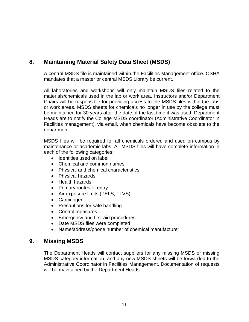## <span id="page-10-0"></span>**8. Maintaining Material Safety Data Sheet (MSDS)**

A central MSDS file is maintained within the Facilities Management office. OSHA mandates that a master or central MSDS Library be current.

All laboratories and workshops will only maintain MSDS files related to the materials/chemicals used in the lab or work area. Instructors and/or Department Chairs will be responsible for providing access to the MSDS files within the labs or work areas. MSDS sheets for chemicals no longer in use by the college must be maintained for 30 years after the date of the last time it was used. Department Heads are to notify the College MSDS coordinator (Administrative Coordinator in Facilities management), via email, when chemicals have become obsolete to the department.

MSDS files will be required for all chemicals ordered and used on campus by maintenance or academic labs. All MSDS files will have complete information in each of the following categories:

- Identities used on label
- Chemical and common names
- Physical and chemical characteristics
- Physical hazards
- Health hazards
- Primary routes of entry
- Air exposure limits (PELS, TLVS)
- Carcinogen
- Precautions for safe handling
- Control measures
- Emergency and first aid procedures
- Date MSDS files were completed
- Name/address/phone number of chemical manufacturer

#### <span id="page-10-1"></span>**9. Missing MSDS**

The Department Heads will contact suppliers for any missing MSDS or missing MSDS category information, and any new MSDS sheets will be forwarded to the Administrative Coordinator in Facilities Management. Documentation of requests will be maintained by the Department Heads.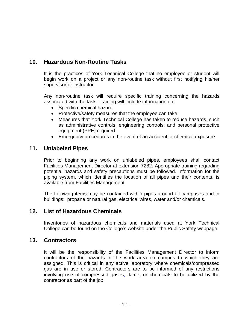## <span id="page-11-0"></span>**10. Hazardous Non-Routine Tasks**

It is the practices of York Technical College that no employee or student will begin work on a project or any non-routine task without first notifying his/her supervisor or instructor.

Any non-routine task will require specific training concerning the hazards associated with the task. Training will include information on:

- Specific chemical hazard
- Protective/safety measures that the employee can take
- Measures that York Technical College has taken to reduce hazards, such as administrative controls, engineering controls, and personal protective equipment (PPE) required
- Emergency procedures in the event of an accident or chemical exposure

#### <span id="page-11-1"></span>**11. Unlabeled Pipes**

Prior to beginning any work on unlabeled pipes, employees shall contact Facilities Management Director at extension 7282. Appropriate training regarding potential hazards and safety precautions must be followed. Information for the piping system, which identifies the location of all pipes and their contents, is available from Facilities Management.

The following items may be contained within pipes around all campuses and in buildings: propane or natural gas, electrical wires, water and/or chemicals.

#### <span id="page-11-2"></span>**12. List of Hazardous Chemicals**

Inventories of hazardous chemicals and materials used at York Technical College can be found on the College's website under the Public Safety webpage.

#### <span id="page-11-3"></span>**13. Contractors**

It will be the responsibility of the Facilities Management Director to inform contractors of the hazards in the work area on campus to which they are assigned. This is critical in any active laboratory where chemicals/compressed gas are in use or stored. Contractors are to be informed of any restrictions involving use of compressed gases, flame, or chemicals to be utilized by the contractor as part of the job.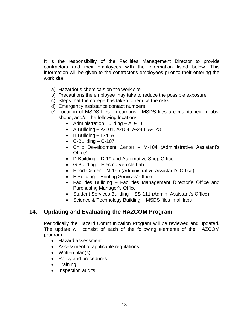It is the responsibility of the Facilities Management Director to provide contractors and their employees with the information listed below. This information will be given to the contractor's employees prior to their entering the work site.

- a) Hazardous chemicals on the work site
- b) Precautions the employee may take to reduce the possible exposure
- c) Steps that the college has taken to reduce the risks
- d) Emergency assistance contact numbers
- e) Location of MSDS files on campus MSDS files are maintained in labs, shops, and/or the following locations:
	- Administration Building AD-10
	- A Building A-101, A-104, A-248, A-123
	- $\bullet$  B Building B-4, A
	- $\bullet$  C-Building C-107
	- Child Development Center M-104 (Administrative Assistant's Office)
	- D Building D-19 and Automotive Shop Office
	- G Building Electric Vehicle Lab
	- Hood Center M-165 (Administrative Assistant's Office)
	- F Building Printing Services' Office
	- Facilities Building Facilities Management Director's Office and Purchasing Manager's Office
	- Student Services Building SS-111 (Admin. Assistant's Office)
	- Science & Technology Building MSDS files in all labs

## <span id="page-12-0"></span>**14. Updating and Evaluating the HAZCOM Program**

Periodically the Hazard Communication Program will be reviewed and updated. The update will consist of each of the following elements of the HAZCOM program:

- Hazard assessment
- Assessment of applicable regulations
- Written plan(s)
- Policy and procedures
- Training
- Inspection audits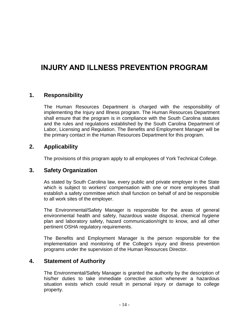## <span id="page-13-0"></span>**INJURY AND ILLNESS PREVENTION PROGRAM**

#### <span id="page-13-1"></span>**1. Responsibility**

The Human Resources Department is charged with the responsibility of implementing the Injury and Illness program. The Human Resources Department shall ensure that the program is in compliance with the South Carolina statutes and the rules and regulations established by the South Carolina Department of Labor, Licensing and Regulation. The Benefits and Employment Manager will be the primary contact in the Human Resources Department for this program.

### <span id="page-13-2"></span>**2. Applicability**

The provisions of this program apply to all employees of York Technical College.

#### <span id="page-13-3"></span>**3. Safety Organization**

As stated by South Carolina law, every public and private employer in the State which is subject to workers' compensation with one or more employees shall establish a safety committee which shall function on behalf of and be responsible to all work sites of the employer.

The Environmental/Safety Manager is responsible for the areas of general environmental health and safety, hazardous waste disposal, chemical hygiene plan and laboratory safety, hazard communication/right to know, and all other pertinent OSHA regulatory requirements.

The Benefits and Employment Manager is the person responsible for the implementation and monitoring of the College's injury and illness prevention programs under the supervision of the Human Resources Director.

#### <span id="page-13-4"></span>**4. Statement of Authority**

The Environmental/Safety Manager is granted the authority by the description of his/her duties to take immediate corrective action whenever a hazardous situation exists which could result in personal injury or damage to college property.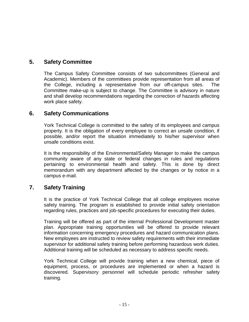## <span id="page-14-0"></span>**5. Safety Committee**

The Campus Safety Committee consists of two subcommittees (General and Academic). Members of the committees provide representation from all areas of the College, including a representative from our off-campus sites. The Committee make-up is subject to change. The Committee is advisory in nature and shall develop recommendations regarding the correction of hazards affecting work place safety.

## <span id="page-14-1"></span>**6. Safety Communications**

York Technical College is committed to the safety of its employees and campus property. It is the obligation of every employee to correct an unsafe condition, if possible, and/or report the situation immediately to his/her supervisor when unsafe conditions exist.

It is the responsibility of the Environmental/Safety Manager to make the campus community aware of any state or federal changes in rules and regulations pertaining to environmental health and safety. This is done by direct memorandum with any department affected by the changes or by notice in a campus e-mail.

## <span id="page-14-2"></span>**7. Safety Training**

It is the practice of York Technical College that all college employees receive safety training. The program is established to provide initial safety orientation regarding rules, practices and job-specific procedures for executing their duties.

Training will be offered as part of the internal Professional Development master plan. Appropriate training opportunities will be offered to provide relevant information concerning emergency procedures and hazard communication plans. New employees are instructed to review safety requirements with their immediate supervisor for additional safety training before performing hazardous work duties. Additional training will be scheduled as necessary to address specific needs.

York Technical College will provide training when a new chemical, piece of equipment, process, or procedures are implemented or when a hazard is discovered. Supervisory personnel will schedule periodic refresher safety training.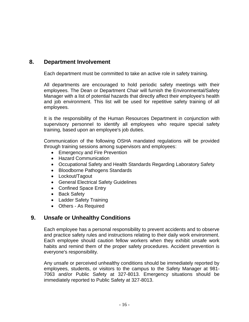## <span id="page-15-0"></span>**8. Department Involvement**

Each department must be committed to take an active role in safety training.

All departments are encouraged to hold periodic safety meetings with their employees. The Dean or Department Chair will furnish the Environmental/Safety Manager with a list of potential hazards that directly affect their employee's health and job environment. This list will be used for repetitive safety training of all employees.

It is the responsibility of the Human Resources Department in conjunction with supervisory personnel to identify all employees who require special safety training, based upon an employee's job duties.

Communication of the following OSHA mandated regulations will be provided through training sessions among supervisors and employees:

- Emergency and Fire Prevention
- Hazard Communication
- Occupational Safety and Health Standards Regarding Laboratory Safety
- Bloodborne Pathogens Standards
- Lockout/Tagout
- General Electrical Safety Guidelines
- Confined Space Entry
- Back Safety
- Ladder Safety Training
- Others As Required

## <span id="page-15-1"></span>**9. Unsafe or Unhealthy Conditions**

Each employee has a personal responsibility to prevent accidents and to observe and practice safety rules and instructions relating to their daily work environment. Each employee should caution fellow workers when they exhibit unsafe work habits and remind them of the proper safety procedures. Accident prevention is everyone's responsibility.

Any unsafe or perceived unhealthy conditions should be immediately reported by employees, students, or visitors to the campus to the Safety Manager at 981- 7063 and/or Public Safety at 327-8013. Emergency situations should be immediately reported to Public Safety at 327-8013.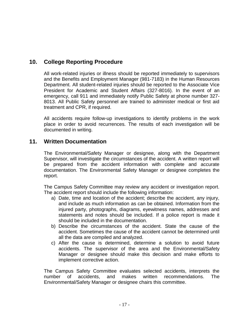## <span id="page-16-0"></span>**10. College Reporting Procedure**

All work-related injuries or illness should be reported immediately to supervisors and the Benefits and Employment Manager (981-7183) in the Human Resources Department. All student-related injuries should be reported to the Associate Vice President for Academic and Student Affairs (327-8016). In the event of an emergency, call 911 and immediately notify Public Safety at phone number 327- 8013. All Public Safety personnel are trained to administer medical or first aid treatment and CPR, if required.

All accidents require follow-up investigations to identify problems in the work place in order to avoid recurrences. The results of each investigation will be documented in writing.

### <span id="page-16-1"></span>**11. Written Documentation**

The Environmental/Safety Manager or designee, along with the Department Supervisor, will investigate the circumstances of the accident. A written report will be prepared from the accident information with complete and accurate documentation. The Environmental Safety Manager or designee completes the report.

The Campus Safety Committee may review any accident or investigation report. The accident report should include the following information:

- a) Date, time and location of the accident; describe the accident, any injury, and include as much information as can be obtained. Information from the injured party, photographs, diagrams, eyewitness names, addresses and statements and notes should be included. If a police report is made it should be included in the documentation.
- b) Describe the circumstances of the accident. State the cause of the accident. Sometimes the cause of the accident cannot be determined until all the data are compiled and analyzed.
- c) After the cause is determined, determine a solution to avoid future accidents. The supervisor of the area and the Environmental/Safety Manager or designee should make this decision and make efforts to implement corrective action.

The Campus Safety Committee evaluates selected accidents, interprets the number of accidents, and makes written recommendations. The Environmental/Safety Manager or designee chairs this committee.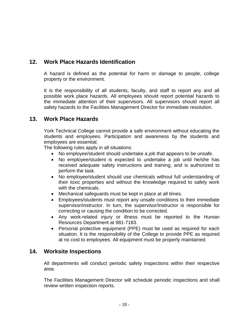## <span id="page-17-0"></span>**12. Work Place Hazards Identification**

A hazard is defined as the potential for harm or damage to people, college property or the environment.

It is the responsibility of all students, faculty, and staff to report any and all possible work place hazards. All employees should report potential hazards to the immediate attention of their supervisors. All supervisors should report all safety hazards to the Facilities Management Director for immediate resolution.

## <span id="page-17-1"></span>**13. Work Place Hazards**

York Technical College cannot provide a safe environment without educating the students and employees. Participation and awareness by the students and employees are essential.

The following rules apply in all situations:

- No employee/student should undertake a job that appears to be unsafe.
- No employee/student is expected to undertake a job until he/she has received adequate safety instructions and training, and is authorized to perform the task.
- No employee/student should use chemicals without full understanding of their toxic properties and without the knowledge required to safely work with the chemicals.
- Mechanical safeguards must be kept in place at all times.
- Employees/students must report any unsafe conditions to their immediate supervisor/instructor. In turn, the supervisor/instructor is responsible for correcting or causing the condition to be corrected.
- Any work-related injury or illness must be reported to the Human Resources Department at 981-7183.
- Personal protective equipment (PPE) must be used as required for each situation. It is the responsibility of the College to provide PPE as required at no cost to employees. All equipment must be properly maintained.

## <span id="page-17-2"></span>**14. Worksite Inspections**

All departments will conduct periodic safety inspections within their respective area.

The Facilities Management Director will schedule periodic inspections and shall review written inspection reports.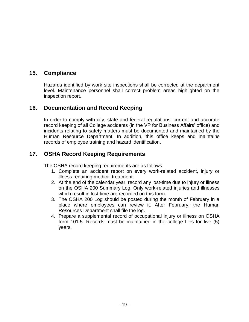## <span id="page-18-0"></span>**15. Compliance**

Hazards identified by work site inspections shall be corrected at the department level. Maintenance personnel shall correct problem areas highlighted on the inspection report.

### <span id="page-18-1"></span>**16. Documentation and Record Keeping**

In order to comply with city, state and federal regulations, current and accurate record keeping of all College accidents (in the VP for Business Affairs' office) and incidents relating to safety matters must be documented and maintained by the Human Resource Department. In addition, this office keeps and maintains records of employee training and hazard identification.

## <span id="page-18-2"></span>**17. OSHA Record Keeping Requirements**

The OSHA record keeping requirements are as follows:

- 1. Complete an accident report on every work-related accident, injury or illness requiring medical treatment.
- 2. At the end of the calendar year, record any lost-time due to injury or illness on the OSHA 200 Summary Log. Only work-related injuries and illnesses which result in lost time are recorded on this form.
- 3. The OSHA 200 Log should be posted during the month of February in a place where employees can review it. After February, the Human Resources Department shall file the log.
- 4. Prepare a supplemental record of occupational injury or illness on OSHA form 101.5. Records must be maintained in the college files for five (5) years.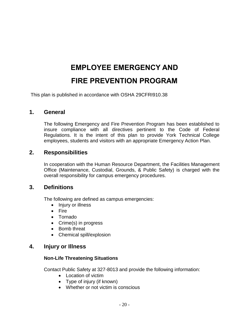# **EMPLOYEE EMERGENCY AND**

## **FIRE PREVENTION PROGRAM**

<span id="page-19-1"></span><span id="page-19-0"></span>This plan is published in accordance with OSHA 29CFRI910.38

#### <span id="page-19-2"></span>**1. General**

The following Emergency and Fire Prevention Program has been established to insure compliance with all directives pertinent to the Code of Federal Regulations. It is the intent of this plan to provide York Technical College employees, students and visitors with an appropriate Emergency Action Plan.

#### <span id="page-19-3"></span>**2. Responsibilities**

In cooperation with the Human Resource Department, the Facilities Management Office (Maintenance, Custodial, Grounds, & Public Safety) is charged with the overall responsibility for campus emergency procedures.

#### <span id="page-19-4"></span>**3. Definitions**

The following are defined as campus emergencies:

- Injury or illness
- Fire
- Tornado
- Crime(s) in progress
- Bomb threat
- Chemical spill/explosion

#### <span id="page-19-5"></span>**4. Injury or Illness**

#### **Non-Life Threatening Situations**

Contact Public Safety at 327-8013 and provide the following information:

- Location of victim
- Type of injury (if known)
- Whether or not victim is conscious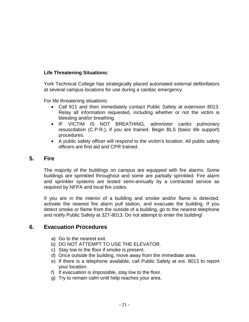#### **Life Threatening Situations:**

York Technical College has strategically placed automated external defibrillators at several campus locations for use during a cardiac emergency.

For life threatening situations:

- Call 911 and then immediately contact Public Safety at extension 8013. Relay all information requested, including whether or not the victim is bleeding and/or breathing.
- IF VICTIM IS NOT BREATHING, administer cardio pulmonary resuscitation (C.P.R.), if you are trained. Begin BLS (basic life support) procedures.
- A public safety officer will respond to the victim's location. All public safety officers are first aid and CPR trained.

### <span id="page-20-0"></span>**5. Fire**

The majority of the buildings on campus are equipped with fire alarms. Some buildings are sprinkled throughout and some are partially sprinkled. Fire alarm and sprinkler systems are tested semi-annually by a contracted service as required by NFPA and local fire codes.

If you are in the interior of a building and smoke and/or flame is detected, activate the nearest fire alarm pull station, and evacuate the building. If you detect smoke or flame from the outside of a building, go to the nearest telephone and notify Public Safety at 327-8013. Do not attempt to enter the building!

## <span id="page-20-1"></span>**6. Evacuation Procedures**

- a) Go to the nearest exit.
- b) DO NOT ATTEMPT TO USE THE ELEVATOR.
- c) Stay low to the floor if smoke is present.
- d) Once outside the building, move away from the immediate area.
- e) If there is a telephone available, call Public Safety at ext. 8013 to report your location.
- f) If evacuation is impossible, stay low to the floor.
- g) Try to remain calm until help reaches your area.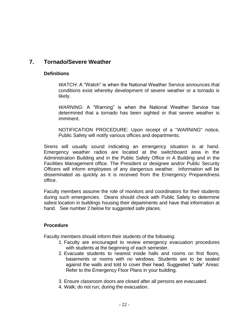## <span id="page-21-0"></span>**7. Tornado/Severe Weather**

#### **Definitions**

*WATCH*: A "Watch" is when the National Weather Service announces that conditions exist whereby development of severe weather or a tornado is likely.

*WARNING*: A "Warning" is when the National Weather Service has determined that a tornado has been sighted or that severe weather is imminent.

NOTIFICATION PROCEDURE: Upon receipt of a "*WARNING*" notice, Public Safety will notify various offices and departments.

Sirens will usually sound indicating an emergency situation is at hand. Emergency weather radios are located at the switchboard area in the Administration Building and in the Public Safety Office in A Building and in the Facilities Management office. The President or designee and/or Public Security Officers will inform employees of any dangerous weather. Information will be disseminated as quickly as it is received from the Emergency Preparedness office.

Faculty members assume the role of monitors and coordinators for their students during such emergencies. Deans should check with Public Safety to determine safest location in buildings housing their departments and have that information at hand. See number 2 below for suggested safe places.

#### **Procedure**

Faculty members should inform their students of the following:

- 1. Faculty are encouraged to review emergency evacuation procedures with students at the beginning of each semester.
- 2. Evacuate students to nearest inside halls and rooms on first floors, basements or rooms with no windows. Students are to be seated against the walls and told to cover their head. Suggested "safe" Areas: Refer to the Emergency Floor Plans in your building.
- 3. Ensure classroom doors are closed after all persons are evacuated.
- 4. Walk; do not run, during the evacuation.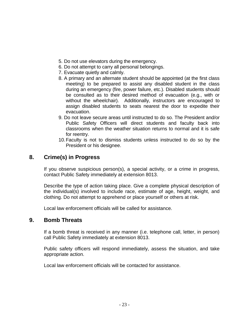- 5. Do not use elevators during the emergency.
- 6. Do not attempt to carry all personal belongings.
- 7. Evacuate quietly and calmly.
- 8. A primary and an alternate student should be appointed (at the first class meeting) to be prepared to assist any disabled student in the class during an emergency (fire, power failure, etc.). Disabled students should be consulted as to their desired method of evacuation (e.g., with or without the wheelchair). Additionally, instructors are encouraged to assign disabled students to seats nearest the door to expedite their evacuation.
- 9. Do not leave secure areas until instructed to do so. The President and/or Public Safety Officers will direct students and faculty back into classrooms when the weather situation returns to normal and it is safe for reentry.
- 10.Faculty is not to dismiss students unless instructed to do so by the President or his designee.

## <span id="page-22-0"></span>**8. Crime(s) in Progress**

If you observe suspicious person(s), a special activity, or a crime in progress, contact Public Safety immediately at extension 8013.

Describe the type of action taking place. Give a complete physical description of the individual(s) involved to include race, estimate of age, height, weight, and clothing. Do not attempt to apprehend or place yourself or others at risk.

Local law enforcement officials will be called for assistance.

#### <span id="page-22-1"></span>**9. Bomb Threats**

If a bomb threat is received in any manner (i.e. telephone call, letter, in person) call Public Safety immediately at extension 8013.

Public safety officers will respond immediately, assess the situation, and take appropriate action.

Local law enforcement officials will be contacted for assistance.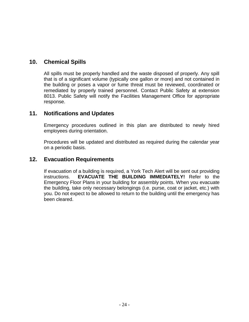## <span id="page-23-0"></span>**10. Chemical Spills**

All spills must be properly handled and the waste disposed of properly. Any spill that is of a significant volume (typically one gallon or more) and not contained in the building or poses a vapor or fume threat must be reviewed, coordinated or remediated by properly trained personnel. Contact Public Safety at extension 8013. Public Safety will notify the Facilities Management Office for appropriate response.

### <span id="page-23-1"></span>**11. Notifications and Updates**

Emergency procedures outlined in this plan are distributed to newly hired employees during orientation.

Procedures will be updated and distributed as required during the calendar year on a periodic basis.

#### <span id="page-23-2"></span>**12. Evacuation Requirements**

If evacuation of a building is required, a York Tech Alert will be sent out providing instructions. **EVACUATE THE BUILDING IMMEDIATELY!** Refer to the Emergency Floor Plans in your building for assembly points. When you evacuate the building, take only necessary belongings (i.e. purse, coat or jacket, etc.) with you. Do not expect to be allowed to return to the building until the emergency has been cleared.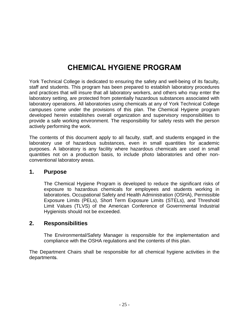## **CHEMICAL HYGIENE PROGRAM**

<span id="page-24-0"></span>York Technical College is dedicated to ensuring the safety and well-being of its faculty, staff and students. This program has been prepared to establish laboratory procedures and practices that will insure that all laboratory workers, and others who may enter the laboratory setting, are protected from potentially hazardous substances associated with laboratory operations. All laboratories using chemicals at any of York Technical College campuses come under the provisions of this plan. The Chemical Hygiene program developed herein establishes overall organization and supervisory responsibilities to provide a safe working environment. The responsibility for safety rests with the person actively performing the work.

The contents of this document apply to all faculty, staff, and students engaged in the laboratory use of hazardous substances, even in small quantities for academic purposes. A laboratory is any facility where hazardous chemicals are used in small quantities not on a production basis, to include photo laboratories and other nonconventional laboratory areas.

#### <span id="page-24-1"></span>**1. Purpose**

The Chemical Hygiene Program is developed to reduce the significant risks of exposure to hazardous chemicals for employees and students working in laboratories. Occupational Safety and Health Administration (OSHA), Permissible Exposure Limits (PELs), Short Term Exposure Limits (STELs), and Threshold Limit Values (TLVS) of the American Conference of Governmental Industrial Hygienists should not be exceeded.

#### <span id="page-24-2"></span>**2. Responsibilities**

The Environmental/Safety Manager is responsible for the implementation and compliance with the OSHA regulations and the contents of this plan.

The Department Chairs shall be responsible for all chemical hygiene activities in the departments.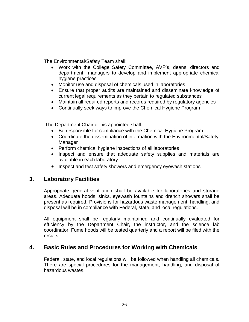The Environmental/Safety Team shall:

- Work with the College Safety Committee, AVP's, deans, directors and department managers to develop and implement appropriate chemical hygiene practices
- Monitor use and disposal of chemicals used in laboratories
- Ensure that proper audits are maintained and disseminate knowledge of current legal requirements as they pertain to regulated substances
- Maintain all required reports and records required by regulatory agencies
- Continually seek ways to improve the Chemical Hygiene Program

The Department Chair or his appointee shall:

- Be responsible for compliance with the Chemical Hygiene Program
- Coordinate the dissemination of information with the Environmental/Safety **Manager**
- Perform chemical hygiene inspections of all laboratories
- Inspect and ensure that adequate safety supplies and materials are available in each laboratory
- <span id="page-25-0"></span>• Inspect and test safety showers and emergency eyewash stations

## **3. Laboratory Facilities**

Appropriate general ventilation shall be available for laboratories and storage areas. Adequate hoods, sinks, eyewash fountains and drench showers shall be present as required. Provisions for hazardous waste management, handling, and disposal will be in compliance with Federal, state, and local regulations.

All equipment shall be regularly maintained and continually evaluated for efficiency by the Department Chair, the instructor, and the science lab coordinator. Fume hoods will be tested quarterly and a report will be filed with the results.

## <span id="page-25-1"></span>**4. Basic Rules and Procedures for Working with Chemicals**

Federal, state, and local regulations will be followed when handling all chemicals. There are special procedures for the management, handling, and disposal of hazardous wastes.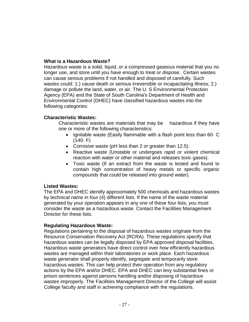#### **What is a Hazardous Waste?**

Hazardous waste is a solid, liquid, or a compressed gaseous material that you no longer use, and store until you have enough to treat or dispose. Certain wastes can cause serious problems if not handled and disposed of carefully. Such wastes could: 1.) cause death or serious irreversible or incapacitating illness; 2.) damage or pollute the land, water, or air. The U. S Environmental Protection Agency (EPA) and the State of South Carolina's Department of Health and Environmental Control (DHEC) have classified hazardous wastes into the following categories:

#### **Characteristic Wastes:**

Characteristic wastes are materials that may be hazardous if they have one or more of the following characteristics:

- Ignitable waste (Easily flammable with a flash point less than 60 $\cdot$  C  $(140 \cdot F)$
- Corrosive waste (pH less than 2 or greater than 12.5).
- Reactive waste (Unstable or undergoes rapid or violent chemical reaction with water or other material and releases toxic gases).
- Toxic waste (If an extract from the waste is tested and found to contain high concentration of heavy metals or specific organic compounds that could be released into ground water).

#### **Listed Wastes:**

The EPA and DHEC identify approximately 500 chemicals and hazardous wastes by technical name in four (4) different lists. If the name of the waste material generated by your operation appears in any one of these four lists, you must consider the waste as a hazardous waste. Contact the Facilities Management Director for these lists.

#### **Regulating Hazardous Waste:**

Regulations pertaining to the disposal of hazardous wastes originate from the Resource Conservation Recovery Act (RCRA). These regulations specify that hazardous wastes can be legally disposed by EPA approved disposal facilities. Hazardous waste generators have direct control over how efficiently hazardous wastes are managed within their laboratories or work place. Each hazardous waste generator shall properly identify, segregate and temporarily store hazardous wastes. This can help protect their operation from any regulatory actions by the EPA and/or DHEC. EPA and DHEC can levy substantial fines or prison sentences against persons handling and/or disposing of hazardous wastes improperly. The Facilities Management Director of the College will assist College faculty and staff in achieving compliance with the regulations.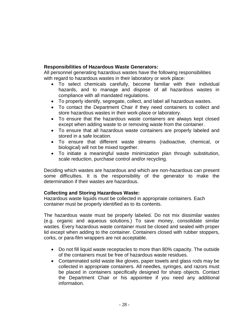#### **Responsibilities of Hazardous Waste Generators:**

All personnel generating hazardous wastes have the following responsibilities with regard to hazardous wastes in their laboratory or work place:

- To select chemicals carefully, become familiar with their individual hazards, and to manage and dispose of all hazardous wastes in compliance with all mandated regulations.
- To properly identify, segregate, collect, and label all hazardous wastes.
- To contact the Department Chair if they need containers to collect and store hazardous wastes in their work-place or laboratory.
- To ensure that the hazardous waste containers are always kept closed except when adding waste to or removing waste from the container.
- To ensure that all hazardous waste containers are properly labeled and stored in a safe location.
- To ensure that different waste streams (radioactive, chemical, or biological) will not be mixed together.
- To initiate a meaningful waste minimization plan through substitution, scale reduction, purchase control and/or recycling.

Deciding which wastes are hazardous and which are non-hazardous can present some difficulties. It is the responsibility of the generator to make the determination if their wastes are hazardous.

#### **Collecting and Storing Hazardous Waste:**

Hazardous waste liquids must be collected in appropriate containers. Each container must be properly identified as to its contents.

The hazardous waste must be properly labeled. Do not mix dissimilar wastes (e.g. organic and aqueous solutions.) To save money, consolidate similar wastes. Every hazardous waste container must be closed and sealed with proper lid except when adding to the container. Containers closed with rubber stoppers, corks, or para-film wrappers are not acceptable.

- Do not fill liquid waste receptacles to more than 80% capacity. The outside of the containers must be free of hazardous waste residues.
- Contaminated solid waste like gloves, paper towels and glass rods may be collected in appropriate containers. All needles, syringes, and razors must be placed in containers specifically designed for sharp objects. Contact the Department Chair or his appointee if you need any additional information.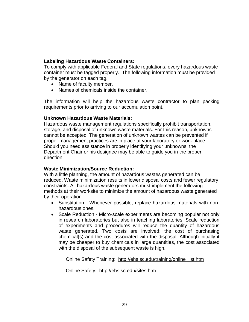#### **Labeling Hazardous Waste Containers:**

To comply with applicable Federal and State regulations, every hazardous waste container must be tagged properly. The following information must be provided by the generator on each tag.

- Name of faculty member.
- Names of chemicals inside the container.

The information will help the hazardous waste contractor to plan packing requirements prior to arriving to our accumulation point.

#### **Unknown Hazardous Waste Materials:**

Hazardous waste management regulations specifically prohibit transportation, storage, and disposal of unknown waste materials. For this reason, unknowns cannot be accepted. The generation of unknown wastes can be prevented if proper management practices are in place at your laboratory or work place. Should you need assistance in properly identifying your unknowns, the Department Chair or his designee may be able to guide you in the proper direction.

#### **Waste Minimization/Source Reduction:**

With a little planning, the amount of hazardous wastes generated can be reduced. Waste minimization results in lower disposal costs and fewer regulatory constraints. All hazardous waste generators must implement the following methods at their worksite to minimize the amount of hazardous waste generated by their operation.

- Substitution Whenever possible, replace hazardous materials with nonhazardous ones.
- Scale Reduction Micro-scale experiments are becoming popular not only in research laboratories but also in teaching laboratories. Scale reduction of experiments and procedures will reduce the quantity of hazardous waste generated. Two costs are involved: the cost of purchasing chemical(s) and the cost associated with the disposal. Although initially it may be cheaper to buy chemicals in large quantities, the cost associated with the disposal of the subsequent waste is high.

Online Safety Training: [http://ehs.sc.edu/training/online\\_list.htm](http://ehs.sc.edu/training/online_list.htm)

Online Safety: <http://ehs.sc.edu/sites.htm>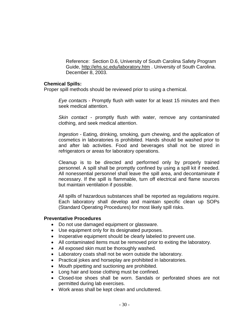Reference: Section D.6, University of South Carolina Safety Program Guide,<http://ehs.sc.edu/laboratory.htm> . University of South Carolina. December 8, 2003.

#### **Chemical Spills:**

Proper spill methods should be reviewed prior to using a chemical.

*Eye contact*s - Promptly flush with water for at least 15 minutes and then seek medical attention.

*Skin contact* - promptly flush with water, remove any contaminated clothing, and seek medical attention.

*Ingestion* - Eating, drinking, smoking, gum chewing, and the application of cosmetics in laboratories is prohibited. Hands should be washed prior to and after lab activities. Food and beverages shall not be stored in refrigerators or areas for laboratory operations.

Cleanup is to be directed and performed only by properly trained personnel. A spill shall be promptly confined by using a spill kit if needed. All nonessential personnel shall leave the spill area, and decontaminate if necessary. If the spill is flammable, turn off electrical and flame sources but maintain ventilation if possible.

All spills of hazardous substances shall be reported as regulations require. Each laboratory shall develop and maintain specific clean up SOPs (Standard Operating Procedures) for most likely spill risks.

#### **Preventative Procedures**

- Do not use damaged equipment or glassware.
- Use equipment only for its designated purposes.
- Inoperative equipment should be clearly labeled to prevent use.
- All contaminated items must be removed prior to exiting the laboratory.
- All exposed skin must be thoroughly washed.
- Laboratory coats shall not be worn outside the laboratory.
- Practical jokes and horseplay are prohibited in laboratories.
- Mouth pipetting and suctioning are prohibited.
- Long hair and loose clothing must be confined.
- Closed-toe shoes shall be worn. Sandals or perforated shoes are not permitted during lab exercises.
- Work areas shall be kept clean and uncluttered.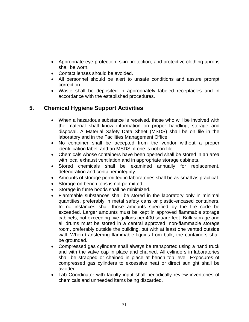- Appropriate eye protection, skin protection, and protective clothing aprons shall be worn.
- Contact lenses should be avoided.
- All personnel should be alert to unsafe conditions and assure prompt correction.
- Waste shall be deposited in appropriately labeled receptacles and in accordance with the established procedures.

## <span id="page-30-0"></span>**5. Chemical Hygiene Support Activities**

- When a hazardous substance is received, those who will be involved with the material shall know information on proper handling, storage and disposal. A Material Safety Data Sheet (MSDS) shall be on file in the laboratory and in the Facilities Management Office.
- No container shall be accepted from the vendor without a proper identification label, and an MSDS, if one is not on file.
- Chemicals whose containers have been opened shall be stored in an area with local exhaust ventilation and in appropriate storage cabinets.
- Stored chemicals shall be examined annually for replacement, deterioration and container integrity.
- Amounts of storage permitted in laboratories shall be as small as practical.
- Storage on bench tops is not permitted.
- Storage in fume hoods shall be minimized.
- Flammable substances shall be stored in the laboratory only in minimal quantities, preferably in metal safety cans or plastic-encased containers. In no instances shall those amounts specified by the fire code be exceeded. Larger amounts must be kept in approved flammable storage cabinets, not exceeding five gallons per 400 square feet. Bulk storage and all drums must be stored in a central approved, non-flammable storage room, preferably outside the building, but with at least one vented outside wall. When transferring flammable liquids from bulk, the containers shall be grounded.
- Compressed gas cylinders shall always be transported using a hand truck and with the valve cap in place and chained. All cylinders in laboratories shall be strapped or chained in place at bench top level. Exposures of compressed gas cylinders to excessive heat or direct sunlight shall be avoided.
- Lab Coordinator with faculty input shall periodically review inventories of chemicals and unneeded items being discarded.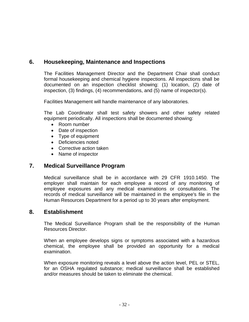## <span id="page-31-0"></span>**6. Housekeeping, Maintenance and Inspections**

The Facilities Management Director and the Department Chair shall conduct formal housekeeping and chemical hygiene inspections. All inspections shall be documented on an inspection checklist showing: (1) location, (2) date of inspection, (3) findings, (4) recommendations, and (5) name of inspector(s).

Facilities Management will handle maintenance of any laboratories.

The Lab Coordinator shall test safety showers and other safety related equipment periodically. All inspections shall be documented showing:

- Room number
- Date of inspection
- Type of equipment
- Deficiencies noted
- Corrective action taken
- Name of inspector

#### <span id="page-31-1"></span>**7. Medical Surveillance Program**

Medical surveillance shall be in accordance with 29 CFR 1910.1450. The employer shall maintain for each employee a record of any monitoring of employee exposures and any medical examinations or consultations. The records of medical surveillance will be maintained in the employee's file in the Human Resources Department for a period up to 30 years after employment.

#### <span id="page-31-2"></span>**8. Establishment**

The Medical Surveillance Program shall be the responsibility of the Human Resources Director.

When an employee develops signs or symptoms associated with a hazardous chemical, the employee shall be provided an opportunity for a medical examination.

When exposure monitoring reveals a level above the action level, PEL or STEL, for an OSHA regulated substance; medical surveillance shall be established and/or measures should be taken to eliminate the chemical.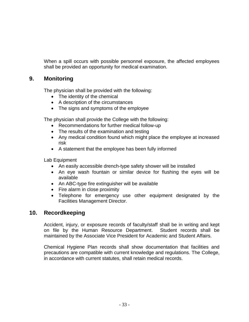When a spill occurs with possible personnel exposure, the affected employees shall be provided an opportunity for medical examination.

## <span id="page-32-0"></span>**9. Monitoring**

The physician shall be provided with the following:

- The identity of the chemical
- A description of the circumstances
- The signs and symptoms of the employee

The physician shall provide the College with the following:

- Recommendations for further medical follow-up
- The results of the examination and testing
- Any medical condition found which might place the employee at increased risk
- A statement that the employee has been fully informed

Lab Equipment

- An easily accessible drench-type safety shower will be installed
- An eye wash fountain or similar device for flushing the eyes will be available
- An ABC-type fire extinguisher will be available
- Fire alarm in close proximity
- Telephone for emergency use other equipment designated by the Facilities Management Director.

## <span id="page-32-1"></span>**10. Recordkeeping**

Accident, injury, or exposure records of faculty/staff shall be in writing and kept on file by the Human Resource Department. Student records shall be maintained by the Associate Vice President for Academic and Student Affairs.

Chemical Hygiene Plan records shall show documentation that facilities and precautions are compatible with current knowledge and regulations. The College, in accordance with current statutes, shall retain medical records.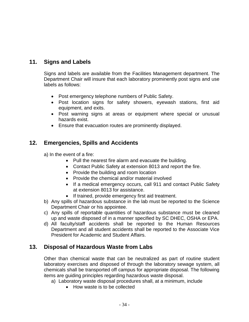## <span id="page-33-0"></span>**11. Signs and Labels**

Signs and labels are available from the Facilities Management department. The Department Chair will insure that each laboratory prominently post signs and use labels as follows:

- Post emergency telephone numbers of Public Safety.
- Post location signs for safety showers, eyewash stations, first aid equipment, and exits.
- Post warning signs at areas or equipment where special or unusual hazards exist.
- Ensure that evacuation routes are prominently displayed.

## <span id="page-33-1"></span>**12. Emergencies, Spills and Accidents**

- a) In the event of a fire:
	- Pull the nearest fire alarm and evacuate the building.
	- Contact Public Safety at extension 8013 and report the fire.
	- Provide the building and room location
	- Provide the chemical and/or material involved
	- If a medical emergency occurs, call 911 and contact Public Safety at extension 8013 for assistance.
	- If trained, provide emergency first aid treatment.
- b) Any spills of hazardous substance in the lab must be reported to the Science Department Chair or his appointee.
- c) Any spills of reportable quantities of hazardous substance must be cleaned up and waste disposed of in a manner specified by SC DHEC, OSHA or EPA.
- d) All faculty/staff accidents shall be reported to the Human Resources Department and all student accidents shall be reported to the Associate Vice President for Academic and Student Affairs.

#### <span id="page-33-2"></span>**13. Disposal of Hazardous Waste from Labs**

Other than chemical waste that can be neutralized as part of routine student laboratory exercises and disposed of through the laboratory sewage system, all chemicals shall be transported off campus for appropriate disposal. The following items are guiding principles regarding hazardous waste disposal.

- a) Laboratory waste disposal procedures shall, at a minimum, include
	- How waste is to be collected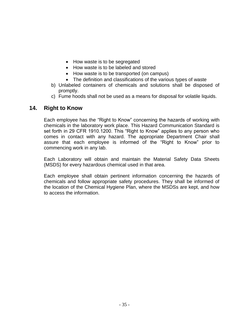- How waste is to be segregated
- How waste is to be labeled and stored
- How waste is to be transported (on campus)
- The definition and classifications of the various types of waste
- b) Unlabeled containers of chemicals and solutions shall be disposed of promptly.
- c) Fume hoods shall not be used as a means for disposal for volatile liquids.

#### <span id="page-34-0"></span>**14. Right to Know**

Each employee has the "Right to Know" concerning the hazards of working with chemicals in the laboratory work place. This Hazard Communication Standard is set forth in 29 CFR 1910.1200. This "Right to Know" applies to any person who comes in contact with any hazard. The appropriate Department Chair shall assure that each employee is informed of the "Right to Know" prior to commencing work in any lab.

Each Laboratory will obtain and maintain the Material Safety Data Sheets (MSDS) for every hazardous chemical used in that area.

Each employee shall obtain pertinent information concerning the hazards of chemicals and follow appropriate safety procedures. They shall be informed of the location of the Chemical Hygiene Plan, where the MSDSs are kept, and how to access the information.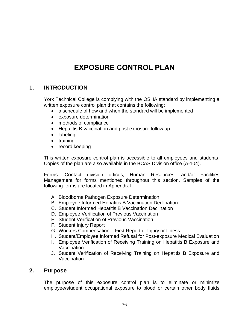# **EXPOSURE CONTROL PLAN**

#### <span id="page-35-1"></span><span id="page-35-0"></span>**1. INTRODUCTION**

York Technical College is complying with the OSHA standard by implementing a written exposure control plan that contains the following:

- a schedule of how and when the standard will be implemented
- exposure determination
- methods of compliance
- Hepatitis B vaccination and post exposure follow up
- labeling
- $\bullet$  training
- record keeping

This written exposure control plan is accessible to all employees and students. Copies of the plan are also available in the BCAS Division office (A-104).

Forms: Contact division offices, Human Resources, and/or Facilities Management for forms mentioned throughout this section. Samples of the following forms are located in Appendix I.

- A. Bloodborne Pathogen Exposure Determination
- B. Employee Informed Hepatitis B Vaccination Declination
- C. Student Informed Hepatitis B Vaccination Declination
- D. Employee Verification of Previous Vaccination
- E. Student Verification of Previous Vaccination
- F. Student Injury Report
- G. Workers Compensation First Report of Injury or Illness
- H. Student/Employee Informed Refusal for Post-exposure Medical Evaluation
- I. Employee Verification of Receiving Training on Hepatitis B Exposure and Vaccination
- J. Student Verification of Receiving Training on Hepatitis B Exposure and Vaccination

#### <span id="page-35-2"></span>**2. Purpose**

The purpose of this exposure control plan is to eliminate or minimize employee/student occupational exposure to blood or certain other body fluids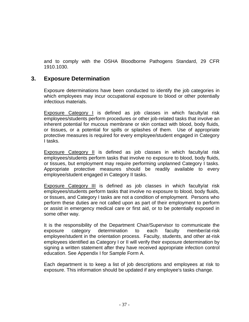and to comply with the OSHA Bloodborne Pathogens Standard, 29 CFR 1910.1030.

## **3. Exposure Determination**

Exposure determinations have been conducted to identify the job categories in which employees may incur occupational exposure to blood or other potentially infectious materials.

Exposure Category I is defined as job classes in which faculty/at risk employees/students perform procedures or other job-related tasks that involve an inherent potential for mucous membrane or skin contact with blood, body fluids, or tissues, or a potential for spills or splashes of them. Use of appropriate protective measures is required for every employee/student engaged in Category I tasks.

Exposure Category II is defined as job classes in which faculty/at risk employees/students perform tasks that involve no exposure to blood, body fluids, or tissues, but employment may require performing unplanned Category I tasks. Appropriate protective measures should be readily available to every employee/student engaged in Category II tasks.

Exposure Category III is defined as job classes in which faculty/at risk employees/students perform tasks that involve no exposure to blood, body fluids, or tissues, and Category I tasks are not a condition of employment. Persons who perform these duties are not called upon as part of their employment to perform or assist in emergency medical care or first aid, or to be potentially exposed in some other way.

It is the responsibility of the Department Chair/Supervisor to communicate the exposure category determination to each faculty member/at-risk employee/student in the orientation process. Faculty, students, and other at-risk employees identified as Category I or II will verify their exposure determination by signing a written statement after they have received appropriate infection control education. See Appendix I for Sample Form A.

Each department is to keep a list of job descriptions and employees at risk to exposure. This information should be updated if any employee's tasks change.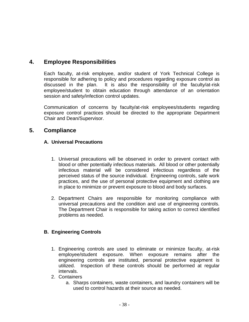# **4. Employee Responsibilities**

Each faculty, at-risk employee, and/or student of York Technical College is responsible for adhering to policy and procedures regarding exposure control as discussed in the plan. It is also the responsibility of the faculty/at-risk employee/student to obtain education through attendance of an orientation session and safety/infection control updates.

Communication of concerns by faculty/at-risk employees/students regarding exposure control practices should be directed to the appropriate Department Chair and Dean/Supervisor.

## **5. Compliance**

### **A. Universal Precautions**

- 1. Universal precautions will be observed in order to prevent contact with blood or other potentially infectious materials. All blood or other potentially infectious material will be considered infectious regardless of the perceived status of the source individual. Engineering controls, safe work practices, and the use of personal protective equipment and clothing are in place to minimize or prevent exposure to blood and body surfaces.
- 2. Department Chairs are responsible for monitoring compliance with universal precautions and the condition and use of engineering controls. The Department Chair is responsible for taking action to correct identified problems as needed.

### **B. Engineering Controls**

- 1. Engineering controls are used to eliminate or minimize faculty, at-risk employee/student exposure. When exposure remains after the engineering controls are instituted, personal protective equipment is utilized. Inspection of these controls should be performed at regular intervals.
- 2. Containers
	- a. Sharps containers, waste containers, and laundry containers will be used to control hazards at their source as needed.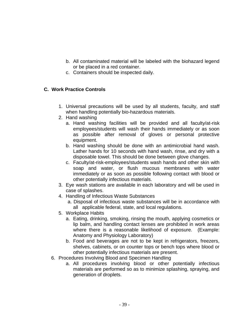- b. All contaminated material will be labeled with the biohazard legend or be placed in a red container.
- c. Containers should be inspected daily.

### **C. Work Practice Controls**

- 1. Universal precautions will be used by all students, faculty, and staff when handling potentially bio-hazardous materials.
- 2. Hand washing
	- a. Hand washing facilities will be provided and all faculty/at-risk employees/students will wash their hands immediately or as soon as possible after removal of gloves or personal protective equipment.
	- b. Hand washing should be done with an antimicrobial hand wash. Lather hands for 10 seconds with hand wash, rinse, and dry with a disposable towel. This should be done between glove changes.
	- c. Faculty/at-risk-employees/students wash hands and other skin with soap and water, or flush mucous membranes with water immediately or as soon as possible following contact with blood or other potentially infectious materials.
- 3. Eye wash stations are available in each laboratory and will be used in case of splashes.
- 4. Handling of Infectious Waste Substances
	- a. Disposal of infectious waste substances will be in accordance with all applicable federal, state, and local regulations.
- 5. Workplace Habits
	- a. Eating, drinking, smoking, rinsing the mouth, applying cosmetics or lip balm, and handling contact lenses are prohibited in work areas where there is a reasonable likelihood of exposure. (Example: Anatomy and Physiology Laboratory)
	- b. Food and beverages are not to be kept in refrigerators, freezers, shelves, cabinets, or on counter tops or bench tops where blood or other potentially infectious materials are present.
- 6. Procedures Involving Blood and Specimen Handling
	- a. All procedures involving blood or other potentially infectious materials are performed so as to minimize splashing, spraying, and generation of droplets.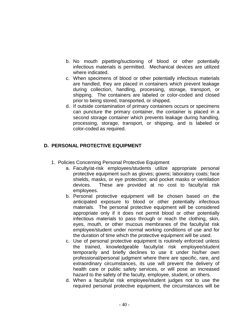- b. No mouth pipetting/suctioning of blood or other potentially infectious materials is permitted. Mechanical devices are utilized where indicated.
- c. When specimens of blood or other potentially infectious materials are handled, they are placed in containers which prevent leakage during collection, handling, processing, storage, transport, or shipping. The containers are labeled or color-coded and closed prior to being stored, transported, or shipped.
- d. If outside contamination of primary containers occurs or specimens can puncture the primary container, the container is placed in a second storage container which prevents leakage during handling, processing, storage, transport, or shipping, and is labeled or color-coded as required.

### **D. PERSONAL PROTECTIVE EQUIPMENT**

- 1. Policies Concerning Personal Protective Equipment
	- a. Faculty/at-risk employees/students utilize appropriate personal protective equipment such as gloves; gowns; laboratory coats; face shields, masks, or eye protection; and pocket masks or ventilation devices. These are provided at no cost to faculty/at risk employees.
	- b. Personal protective equipment will be chosen based on the anticipated exposure to blood or other potentially infectious materials. The personal protective equipment will be considered appropriate only if it does not permit blood or other potentially infectious materials to pass through or reach the clothing, skin, eyes, mouth, or other mucous membranes of the faculty/at risk employee/student under normal working conditions of use and for the duration of time which the protective equipment will be used.
	- c. Use of personal protective equipment is routinely enforced unless the trained, knowledgeable faculty/at risk employee/student temporarily and briefly declines to use it under his/her own professional/personal judgment where there are specific, rare, and extraordinary circumstances, its use will prevent the delivery of health care or public safety services, or will pose an increased hazard to the safety of the faculty, employee, student, or others.
	- d. When a faculty/at risk employee/student judges not to use the required personal protective equipment, the circumstances will be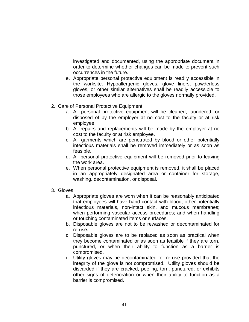investigated and documented, using the appropriate document in order to determine whether changes can be made to prevent such occurrences in the future.

- e. Appropriate personal protective equipment is readily accessible in the worksite. Hypoallergenic gloves, glove liners, powderless gloves, or other similar alternatives shall be readily accessible to those employees who are allergic to the gloves normally provided.
- 2. Care of Personal Protective Equipment
	- a. All personal protective equipment will be cleaned, laundered, or disposed of by the employer at no cost to the faculty or at risk employee.
	- b. All repairs and replacements will be made by the employer at no cost to the faculty or at risk employee.
	- c. All garments which are penetrated by blood or other potentially infectious materials shall be removed immediately or as soon as feasible.
	- d. All personal protective equipment will be removed prior to leaving the work area.
	- e. When personal protective equipment is removed, it shall be placed in an appropriately designated area or container for storage, washing, decontamination, or disposal.
- 3. Gloves
	- a. Appropriate gloves are worn when it can be reasonably anticipated that employees will have hand contact with blood, other potentially infectious materials, non-intact skin, and mucous membranes; when performing vascular access procedures; and when handling or touching contaminated items or surfaces.
	- b. Disposable gloves are not to be rewashed or decontaminated for re-use.
	- c. Disposable gloves are to be replaced as soon as practical when they become contaminated or as soon as feasible if they are torn, punctured, or when their ability to function as a barrier is compromised.
	- d. Utility gloves may be decontaminated for re-use provided that the integrity of the glove is not compromised. Utility gloves should be discarded if they are cracked, peeling, torn, punctured, or exhibits other signs of deterioration or when their ability to function as a barrier is compromised.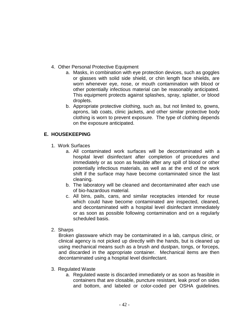- 4. Other Personal Protective Equipment
	- a. Masks, in combination with eye protection devices, such as goggles or glasses with solid side shield, or chin length face shields, are worn whenever eye, nose, or mouth contamination with blood or other potentially infectious material can be reasonably anticipated. This equipment protects against splashes, spray, splatter, or blood droplets.
	- b. Appropriate protective clothing, such as, but not limited to, gowns, aprons, lab coats, clinic jackets, and other similar protective body clothing is worn to prevent exposure. The type of clothing depends on the exposure anticipated.

### **E. HOUSEKEEPING**

- 1. Work Surfaces
	- a. All contaminated work surfaces will be decontaminated with a hospital level disinfectant after completion of procedures and immediately or as soon as feasible after any spill of blood or other potentially infectious materials, as well as at the end of the work shift if the surface may have become contaminated since the last cleaning.
	- b. The laboratory will be cleaned and decontaminated after each use of bio-hazardous material.
	- c. All bins, pails, cans, and similar receptacles intended for reuse which could have become contaminated are inspected, cleaned, and decontaminated with a hospital level disinfectant immediately or as soon as possible following contamination and on a regularly scheduled basis.
- 2. Sharps

Broken glassware which may be contaminated in a lab, campus clinic, or clinical agency is not picked up directly with the hands, but is cleaned up using mechanical means such as a brush and dustpan, tongs, or forceps, and discarded in the appropriate container. Mechanical items are then decontaminated using a hospital level disinfectant.

- 3. Regulated Waste
	- a. Regulated waste is discarded immediately or as soon as feasible in containers that are closable, puncture resistant, leak proof on sides and bottom, and labeled or color-coded per OSHA guidelines.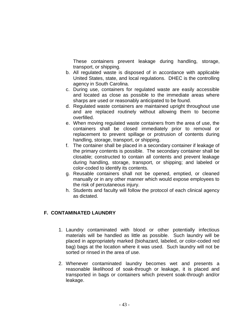These containers prevent leakage during handling, storage, transport, or shipping.

- b. All regulated waste is disposed of in accordance with applicable United States, state, and local regulations. DHEC is the controlling agency in South Carolina.
- c. During use, containers for regulated waste are easily accessible and located as close as possible to the immediate areas where sharps are used or reasonably anticipated to be found.
- d. Regulated waste containers are maintained upright throughout use and are replaced routinely without allowing them to become overfilled.
- e. When moving regulated waste containers from the area of use, the containers shall be closed immediately prior to removal or replacement to prevent spillage or protrusion of contents during handling, storage, transport, or shipping.
- f. The container shall be placed in a secondary container if leakage of the primary contents is possible. The secondary container shall be closable; constructed to contain all contents and prevent leakage during handling, storage, transport, or shipping; and labeled or color-coded to identify its contents.
- g. Reusable containers shall not be opened, emptied, or cleaned manually or in any other manner which would expose employees to the risk of percutaneous injury.
- h. Students and faculty will follow the protocol of each clinical agency as dictated.

### **F. CONTAMINATED LAUNDRY**

- 1. Laundry contaminated with blood or other potentially infectious materials will be handled as little as possible. Such laundry will be placed in appropriately marked (biohazard, labeled, or color-coded red bag) bags at the location where it was used. Such laundry will not be sorted or rinsed in the area of use.
- 2. Whenever contaminated laundry becomes wet and presents a reasonable likelihood of soak-through or leakage, it is placed and transported in bags or containers which prevent soak-through and/or leakage.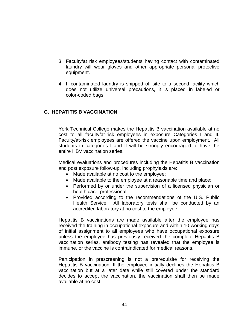- 3. Faculty/at risk employees/students having contact with contaminated laundry will wear gloves and other appropriate personal protective equipment.
- 4. If contaminated laundry is shipped off-site to a second facility which does not utilize universal precautions, it is placed in labeled or color-coded bags.

### **G. HEPATITIS B VACCINATION**

York Technical College makes the Hepatitis B vaccination available at no cost to all faculty/at-risk employees in exposure Categories I and II. Faculty/at-risk employees are offered the vaccine upon employment. All students in categories I and II will be strongly encouraged to have the entire HBV vaccination series.

Medical evaluations and procedures including the Hepatitis B vaccination and post exposure follow-up, including prophylaxis are:

- Made available at no cost to the employee;
- Made available to the employee at a reasonable time and place;
- Performed by or under the supervision of a licensed physician or health care professional;
- Provided according to the recommendations of the U.S. Public Health Service. All laboratory tests shall be conducted by an accredited laboratory at no cost to the employee.

 Hepatitis B vaccinations are made available after the employee has received the training in occupational exposure and within 10 working days of initial assignment to all employees who have occupational exposure unless the employee has previously received the complete Hepatitis B vaccination series, antibody testing has revealed that the employee is immune, or the vaccine is contraindicated for medical reasons.

 Participation in prescreening is not a prerequisite for receiving the Hepatitis B vaccination. If the employee initially declines the Hepatitis B vaccination but at a later date while still covered under the standard decides to accept the vaccination, the vaccination shall then be made available at no cost.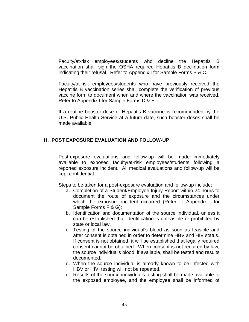Faculty/at-risk employees/students who decline the Hepatitis B vaccination shall sign the OSHA required Hepatitis B declination form indicating their refusal. Refer to Appendix I for Sample Forms B & C.

Faculty/at-risk employees/students who have previously received the Hepatitis B vaccination series shall complete the verification of previous vaccine form to document when and where the vaccination was received. Refer to Appendix I for Sample Forms D & E.

If a routine booster dose of Hepatitis B vaccine is recommended by the U.S. Public Health Service at a future date, such booster doses shall be made available.

### **H. POST EXPOSURE EVALUATION AND FOLLOW-UP**

Post-exposure evaluations and follow-up will be made immediately available to exposed faculty/at-risk employees/students following a reported exposure incident. All medical evaluations and follow-up will be kept confidential.

Steps to be taken for a post-exposure evaluation and follow-up include:

- a. Completion of a Student/Employee Injury Report within 24 hours to document the route of exposure and the circumstances under which the exposure incident occurred (Refer to Appendix I for Sample Forms F & G);
- b. Identification and documentation of the source individual, unless it can be established that identification is unfeasible or prohibited by state or local law.
- c. Testing of the source individual's blood as soon as feasible and after consent is obtained in order to determine HBV and HIV status. If consent is not obtained, it will be established that legally required consent cannot be obtained. When consent is not required by law, the source individual's blood, if available, shall be tested and results documented.
- d. When the source individual is already known to be infected with HBV or HIV, testing will not be repeated.
- e. Results of the source individual's testing shall be made available to the exposed employee, and the employee shall be informed of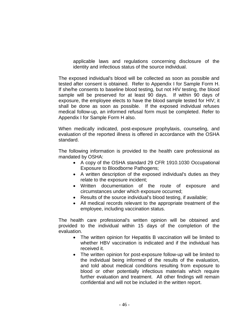applicable laws and regulations concerning disclosure of the identity and infectious status of the source individual.

 The exposed individual's blood will be collected as soon as possible and tested after consent is obtained. Refer to Appendix I for Sample Form H. If she/he consents to baseline blood testing, but not HIV testing, the blood sample will be preserved for at least 90 days. If within 90 days of exposure, the employee elects to have the blood sample tested for HIV; it shall be done as soon as possible. If the exposed individual refuses medical follow-up, an informed refusal form must be completed. Refer to Appendix I for Sample Form H also.

 When medically indicated, post-exposure prophylaxis, counseling, and evaluation of the reported illness is offered in accordance with the OSHA standard.

 The following information is provided to the health care professional as mandated by OSHA:

- A copy of the OSHA standard 29 CFR 1910.1030 Occupational Exposure to Bloodborne Pathogens;
- A written description of the exposed individual's duties as they relate to the exposure incident;
- Written documentation of the route of exposure and circumstances under which exposure occurred;
- Results of the source individual's blood testing, if available;
- All medical records relevant to the appropriate treatment of the employee, including vaccination status.

The health care professional's written opinion will be obtained and provided to the individual within 15 days of the completion of the evaluation.

- The written opinion for Hepatitis B vaccination will be limited to whether HBV vaccination is indicated and if the individual has received it.
- The written opinion for post-exposure follow-up will be limited to the individual being informed of the results of the evaluation, and told about medical conditions resulting from exposure to blood or other potentially infectious materials which require further evaluation and treatment. All other findings will remain confidential and will not be included in the written report.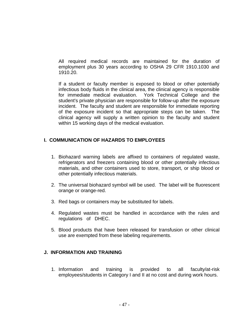All required medical records are maintained for the duration of employment plus 30 years according to OSHA 29 CFR 1910.1030 and 1910.20.

 If a student or faculty member is exposed to blood or other potentially infectious body fluids in the clinical area, the clinical agency is responsible for immediate medical evaluation. York Technical College and the student's private physician are responsible for follow-up after the exposure incident. The faculty and student are responsible for immediate reporting of the exposure incident so that appropriate steps can be taken. The clinical agency will supply a written opinion to the faculty and student within 15 working days of the medical evaluation.

### **I. COMMUNICATION OF HAZARDS TO EMPLOYEES**

- 1. Biohazard warning labels are affixed to containers of regulated waste, refrigerators and freezers containing blood or other potentially infectious materials, and other containers used to store, transport, or ship blood or other potentially infectious materials.
- 2. The universal biohazard symbol will be used. The label will be fluorescent orange or orange-red.
- 3. Red bags or containers may be substituted for labels.
- 4. Regulated wastes must be handled in accordance with the rules and regulations of DHEC.
- 5. Blood products that have been released for transfusion or other clinical use are exempted from these labeling requirements.

### **J. INFORMATION AND TRAINING**

1. Information and training is provided to all faculty/at-risk employees/students in Category I and II at no cost and during work hours.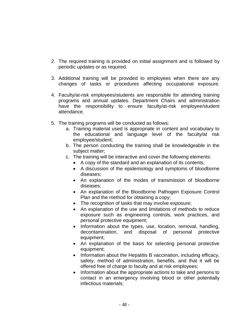- 2. The required training is provided on initial assignment and is followed by periodic updates or as required.
- 3. Additional training will be provided to employees when there are any changes of tasks or procedures affecting occupational exposure.
- 4. Faculty/at-risk employees/students are responsible for attending training programs and annual updates. Department Chairs and administration have the responsibility to ensure faculty/at-risk employee/student attendance.
- 5. The training programs will be conducted as follows:
	- a. Training material used is appropriate in content and vocabulary to the educational and language level of the faculty/at risk employee/student;
	- b. The person conducting the training shall be knowledgeable in the subject matter;
	- c. The training will be interactive and cover the following elements:
		- A copy of the standard and an explanation of its contents;
		- A discussion of the epidemiology and symptoms of bloodborne diseases;
		- An explanation of the modes of transmission of bloodborne diseases;
		- An explanation of the Bloodborne Pathogen Exposure Control Plan and the method for obtaining a copy;
		- The recognition of tasks that may involve exposure;
		- An explanation of the use and limitations of methods to reduce exposure such as engineering controls, work practices, and personal protective equipment;
		- Information about the types, use, location, removal, handling, decontamination, and disposal of personal protective equipment;
		- An explanation of the basis for selecting personal protective equipment;
		- Information about the Hepatitis B vaccination, including efficacy, safety, method of administration, benefits, and that it will be offered free of charge to faculty and at risk employees;
		- Information about the appropriate actions to take and persons to contact in an emergency involving blood or other potentially infectious materials;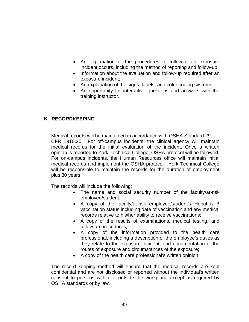- An explanation of the procedures to follow if an exposure incident occurs, including the method of reporting and follow-up;
- Information about the evaluation and follow-up required after an exposure incident;
- An explanation of the signs, labels, and color coding systems;
- An opportunity for interactive questions and answers with the training instructor.

### **K. RECORDKEEPING**

 Medical records will be maintained in accordance with OSHA Standard 29 CFR 1910.20. For off-campus incidents, the clinical agency will maintain medical records for the initial evaluation of the incident. Once a written opinion is reported to York Technical College, OSHA protocol will be followed. For on-campus incidents, the Human Resources office will maintain initial medical records and implement the OSHA protocol. York Technical College will be responsible to maintain the records for the duration of employment plus 30 years.

The records will include the following:

- The name and social security number of the faculty/at-risk employee/student;
- A copy of the faculty/at-risk employee/student's Hepatitis B vaccination status including date of vaccination and any medical records relative to his/her ability to receive vaccinations;
- A copy of the results of examinations, medical testing, and follow-up procedures;
- A copy of the information provided to the health care professional, including a description of the employee's duties as they relate to the exposure incident, and documentation of the routes of exposure and circumstances of the exposure;
- A copy of the health care professional's written opinion.

The record keeping method will ensure that the medical records are kept confidential and are not disclosed or reported without the individual's written consent to persons within or outside the workplace except as required by OSHA standards or by law.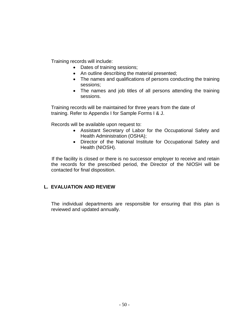Training records will include:

- Dates of training sessions;
- An outline describing the material presented;
- The names and qualifications of persons conducting the training sessions;
- The names and job titles of all persons attending the training sessions.

 Training records will be maintained for three years from the date of training. Refer to Appendix I for Sample Forms I & J.

Records will be available upon request to:

- Assistant Secretary of Labor for the Occupational Safety and Health Administration (OSHA);
- Director of the National Institute for Occupational Safety and Health (NIOSH).

 If the facility is closed or there is no successor employer to receive and retain the records for the prescribed period, the Director of the NIOSH will be contacted for final disposition.

### **L. EVALUATION AND REVIEW**

 The individual departments are responsible for ensuring that this plan is reviewed and updated annually.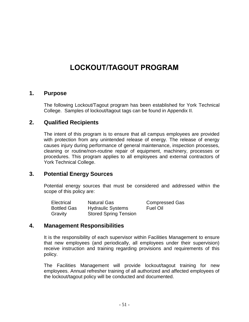# **LOCKOUT/TAGOUT PROGRAM**

### **1. Purpose**

The following Lockout/Tagout program has been established for York Technical College. Samples of lockout/tagout tags can be found in Appendix II.

### **2. Qualified Recipients**

The intent of this program is to ensure that all campus employees are provided with protection from any unintended release of energy. The release of energy causes injury during performance of general maintenance, inspection processes, cleaning or routine/non-routine repair of equipment, machinery, processes or procedures. This program applies to all employees and external contractors of York Technical College.

### **3. Potential Energy Sources**

Potential energy sources that must be considered and addressed within the scope of this policy are:

| Electrical         | <b>Natural Gas</b>           | <b>Compressed Gas</b> |
|--------------------|------------------------------|-----------------------|
| <b>Bottled Gas</b> | <b>Hydraulic Systems</b>     | Fuel Oil              |
| Gravity            | <b>Stored Spring Tension</b> |                       |

### **4. Management Responsibilities**

It is the responsibility of each supervisor within Facilities Management to ensure that new employees (and periodically, all employees under their supervision) receive instruction and training regarding provisions and requirements of this policy.

The Facilities Management will provide lockout/tagout training for new employees. Annual refresher training of all authorized and affected employees of the lockout/tagout policy will be conducted and documented.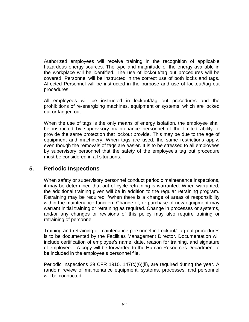Authorized employees will receive training in the recognition of applicable hazardous energy sources. The type and magnitude of the energy available in the workplace will be identified. The use of lockout/tag out procedures will be covered. Personnel will be instructed in the correct use of both locks and tags. Affected Personnel will be instructed in the purpose and use of lockout/tag out procedures.

All employees will be instructed in lockout/tag out procedures and the prohibitions of re-energizing machines, equipment or systems, which are locked out or tagged out.

When the use of tags is the only means of energy isolation, the employee shall be instructed by supervisory maintenance personnel of the limited ability to provide the same protection that lockout provide. This may be due to the age of equipment and machinery. When tags are used, the same restrictions apply, even though the removals of tags are easier. It is to be stressed to all employees by supervisory personnel that the safety of the employee's tag out procedure must be considered in all situations.

## **5. Periodic Inspections**

When safety or supervisory personnel conduct periodic maintenance inspections, it may be determined that out of cycle retraining is warranted. When warranted, the additional training given will be in addition to the regular retraining program. Retraining may be required if/when there is a change of areas of responsibility within the maintenance function. Change of, or purchase of new equipment may warrant initial training or retraining as required. Change in processes or systems, and/or any changes or revisions of this policy may also require training or retraining of personnel.

Training and retraining of maintenance personnel in Lockout/Tag out procedures is to be documented by the Facilities Management Director. Documentation will include certification of employee's name, date, reason for training, and signature of employee. A copy will be forwarded to the Human Resources Department to be included in the employee's personnel file.

Periodic Inspections 29 CFR 1910. 147(c)(6)(ii), are required during the year. A random review of maintenance equipment, systems, processes, and personnel will be conducted.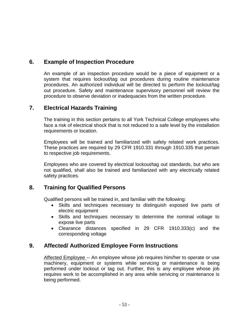## **6. Example of Inspection Procedure**

An example of an inspection procedure would be a piece of equipment or a system that requires lockout/tag out procedures during routine maintenance procedures. An authorized individual will be directed to perform the lockout/tag out procedure. Safety and maintenance supervisory personnel will review the procedure to observe deviation or inadequacies from the written procedure.

### **7. Electrical Hazards Training**

The training in this section pertains to all York Technical College employees who face a risk of electrical shock that is not reduced to a safe level by the installation requirements or location.

Employees will be trained and familiarized with safety related work practices. These practices are required by 29 CFR 1910.331 through 1910.335 that pertain to respective job requirements.

Employees who are covered by electrical lockout/tag out standards, but who are not qualified, shall also be trained and familiarized with any electrically related safety practices.

## **8. Training for Qualified Persons**

Qualified persons will be trained in, and familiar with the following:

- Skills and techniques necessary to distinguish exposed live parts of electric equipment
- Skills and techniques necessary to determine the nominal voltage to expose live parts
- Clearance distances specified in 29 CFR 1910.333(c) and the corresponding voltage

# **9. Affected/ Authorized Employee Form Instructions**

Affected Employee -- An employee whose job requires him/her to operate or use machinery, equipment or systems while servicing or maintenance is being performed under lockout or tag out. Further, this is any employee whose job requires work to be accomplished in any area while servicing or maintenance is being performed.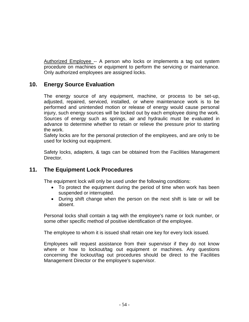Authorized Employee -- A person who locks or implements a tag out system procedure on machines or equipment to perform the servicing or maintenance. Only authorized employees are assigned locks.

## **10. Energy Source Evaluation**

The energy source of any equipment, machine, or process to be set-up, adjusted, repaired, serviced, installed, or where maintenance work is to be performed and unintended motion or release of energy would cause personal injury, such energy sources will be locked out by each employee doing the work. Sources of energy such as springs, air and hydraulic must be evaluated in advance to determine whether to retain or relieve the pressure prior to starting the work.

Safety locks are for the personal protection of the employees, and are only to be used for locking out equipment.

Safety locks, adapters, & tags can be obtained from the Facilities Management Director.

# **11. The Equipment Lock Procedures**

The equipment lock will only be used under the following conditions:

- To protect the equipment during the period of time when work has been suspended or interrupted.
- During shift change when the person on the next shift is late or will be absent.

Personal locks shall contain a tag with the employee's name or lock number, or some other specific method of positive identification of the employee.

The employee to whom it is issued shall retain one key for every lock issued.

Employees will request assistance from their supervisor if they do not know where or how to lockout/tag out equipment or machines. Any questions concerning the lockout/tag out procedures should be direct to the Facilities Management Director or the employee's supervisor.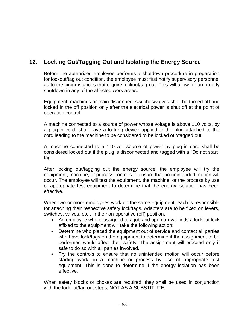# **12. Locking Out/Tagging Out and Isolating the Energy Source**

Before the authorized employee performs a shutdown procedure in preparation for lockout/tag out condition, the employee must first notify supervisory personnel as to the circumstances that require lockout/tag out. This will allow for an orderly shutdown in any of the affected work areas.

Equipment, machines or main disconnect switches/valves shall be turned off and locked in the off position only after the electrical power is shut off at the point of operation control.

A machine connected to a source of power whose voltage is above 110 volts, by a plug-in cord, shall have a locking device applied to the plug attached to the cord leading to the machine to be considered to be locked out/tagged out.

A machine connected to a 110-volt source of power by plug-in cord shall be considered locked out if the plug is disconnected and tagged with a "Do not start" tag.

After locking out/tagging out the energy source, the employee will try the equipment, machine, or process controls to ensure that no unintended motion will occur. The employee will test the equipment, the machine, or the process by use of appropriate test equipment to determine that the energy isolation has been effective.

When two or more employees work on the same equipment, each is responsible for attaching their respective safety lock/tags. Adapters are to be fixed on levers, switches, valves, etc., in the non-operative (off) position.

- An employee who is assigned to a job and upon arrival finds a lockout lock affixed to the equipment will take the following action:
- Determine who placed the equipment out of service and contact all parties who have lock/tags on the equipment to determine if the assignment to be performed would affect their safety. The assignment will proceed only if safe to do so with all parties involved.
- Try the controls to ensure that no unintended motion will occur before starting work on a machine or process by use of appropriate test equipment. This is done to determine if the energy isolation has been effective.

When safety blocks or chokes are required, they shall be used in conjunction with the lockout/tag out steps, NOT AS A SUBSTITUTE.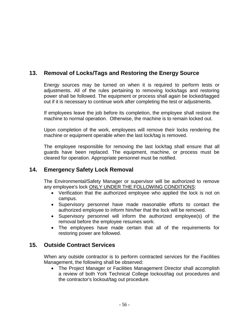# **13. Removal of Locks/Tags and Restoring the Energy Source**

Energy sources may be turned on when it is required to perform tests or adjustments. All of the rules pertaining to removing locks/tags and restoring power shall be followed. The equipment or process shall again be locked/tagged out if it is necessary to continue work after completing the test or adjustments.

If employees leave the job before its completion, the employee shall restore the machine to normal operation. Otherwise, the machine is to remain locked out.

Upon completion of the work, employees will remove their locks rendering the machine or equipment operable when the last lock/tag is removed.

The employee responsible for removing the last lock/tag shall ensure that all guards have been replaced. The equipment, machine, or process must be cleared for operation. Appropriate personnel must be notified.

## **14. Emergency Safety Lock Removal**

The Environmental/Safety Manager or supervisor will be authorized to remove any employee's lock ONLY UNDER THE FOLLOWING CONDITIONS:

- Verification that the authorized employee who applied the lock is not on campus.
- Supervisory personnel have made reasonable efforts to contact the authorized employee to inform him/her that the lock will be removed.
- Supervisory personnel will inform the authorized employee(s) of the removal before the employee resumes work.
- The employees have made certain that all of the requirements for restoring power are followed.

## **15. Outside Contract Services**

When any outside contractor is to perform contracted services for the Facilities Management, the following shall be observed:

• The Project Manager or Facilities Management Director shall accomplish a review of both York Technical College lockout/tag out procedures and the contractor's lockout/tag out procedure.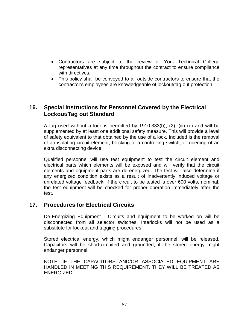- Contractors are subject to the review of York Technical College representatives at any time throughout the contract to ensure compliance with directives.
- This policy shall be conveyed to all outside contractors to ensure that the contractor's employees are knowledgeable of lockout/tag out protection.

## **16. Special Instructions for Personnel Covered by the Electrical Lockout/Tag out Standard**

A tag used without a lock is permitted by 1910.333(b), (2), (iii) (c) and will be supplemented by at least one additional safety measure. This will provide a level of safety equivalent to that obtained by the use of a lock. Included is the removal of an isolating circuit element, blocking of a controlling switch, or opening of an extra disconnecting device.

Qualified personnel will use test equipment to test the circuit element and electrical parts which elements will be exposed and will verify that the circuit elements and equipment parts are de-energized. The test will also determine if any energized condition exists as a result of inadvertently induced voltage or unrelated voltage feedback. If the circuit to be tested is over 600 volts, nominal, the test equipment will be checked for proper operation immediately after the test.

## **17. Procedures for Electrical Circuits**

De-Energizing Equipment - Circuits and equipment to be worked on will be disconnected from all selector switches. Interlocks will not be used as a substitute for lockout and tagging procedures.

Stored electrical energy, which might endanger personnel, will be released. Capacitors will be short-circuited and grounded, if the stored energy might endanger personnel.

NOTE: IF THE CAPACITORS AND/OR ASSOCIATED EQUIPMENT ARE HANDLED IN MEETING THIS REQUIREMENT, THEY WILL BE TREATED AS ENERGIZED.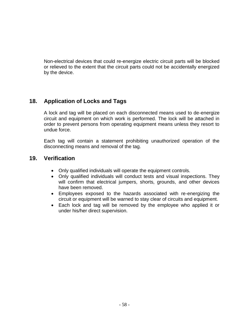Non-electrical devices that could re-energize electric circuit parts will be blocked or relieved to the extent that the circuit parts could not be accidentally energized by the device.

## **18. Application of Locks and Tags**

A lock and tag will be placed on each disconnected means used to de-energize circuit and equipment on which work is performed. The lock will be attached in order to prevent persons from operating equipment means unless they resort to undue force.

Each tag will contain a statement prohibiting unauthorized operation of the disconnecting means and removal of the tag.

### **19. Verification**

- Only qualified individuals will operate the equipment controls.
- Only qualified individuals will conduct tests and visual inspections. They will confirm that electrical jumpers, shorts, grounds, and other devices have been removed.
- Employees exposed to the hazards associated with re-energizing the circuit or equipment will be warned to stay clear of circuits and equipment.
- Each lock and tag will be removed by the employee who applied it or under his/her direct supervision.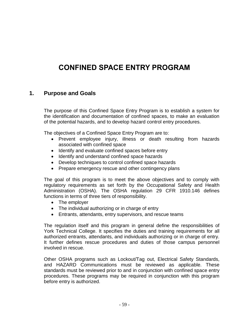# **CONFINED SPACE ENTRY PROGRAM**

### **1. Purpose and Goals**

The purpose of this Confined Space Entry Program is to establish a system for the identification and documentation of confined spaces, to make an evaluation of the potential hazards, and to develop hazard control entry procedures.

The objectives of a Confined Space Entry Program are to:

- Prevent employee injury, illness or death resulting from hazards associated with confined space
- Identify and evaluate confined spaces before entry
- Identify and understand confined space hazards
- Develop techniques to control confined space hazards
- Prepare emergency rescue and other contingency plans

The goal of this program is to meet the above objectives and to comply with regulatory requirements as set forth by the Occupational Safety and Health Administration (OSHA). The OSHA regulation 29 CFR 1910.146 defines functions in terms of three tiers of responsibility.

- The employer
- The individual authorizing or in charge of entry
- Entrants, attendants, entry supervisors, and rescue teams

The regulation itself and this program in general define the responsibilities of York Technical College. It specifies the duties and training requirements for all authorized entrants, attendants, and individuals authorizing or in charge of entry. It further defines rescue procedures and duties of those campus personnel involved in rescue.

Other OSHA programs such as Lockout/Tag out, Electrical Safety Standards, and HAZARD Communications must be reviewed as applicable. These standards must be reviewed prior to and in conjunction with confined space entry procedures. These programs may be required in conjunction with this program before entry is authorized.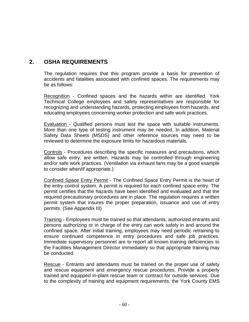# **2. OSHA REQUIREMENTS**

The regulation requires that this program provide a basis for prevention of accidents and fatalities associated with confined spaces. The requirements may be as follows:

Recognition - Confined spaces and the hazards within are identified. York Technical College employees and safety representatives are responsible for recognizing and understanding hazards, protecting employees from hazards, and educating employees concerning worker protection and safe work practices.

Evaluation - Qualified persons must test the space with suitable instruments. More than one type of testing instrument may be needed. In addition, Material Safety Data Sheets (MSDS) and other reference sources may need to be reviewed to determine the exposure limits for hazardous materials.

Controls - Procedures describing the specific measures and precautions, which allow safe entry, are written. Hazards may be controlled through engineering and/or safe work practices. (Ventilation via exhaust fans may be a good example to consider when/if appropriate.)

Confined Space Entry Permit - The Confined Space Entry Permit is the heart of the entry control system. A permit is required for each confined space entry. The permit certifies that the hazards have been identified and evaluated and that the required precautionary procedures are in place. The regulation requires a written permit system that insures the proper preparation, issuance and use of entry permits. (See Appendix III)

Training - Employees must be trained so that attendants, authorized entrants and persons authorizing or in charge of the entry can work safely in and around the confined space. After initial training, employees may need periodic retraining to ensure continued competence in entry procedures and safe job practices. Immediate supervisory personnel are to report all known training deficiencies to the Facilities Management Director immediately so that appropriate training may be conducted.

Rescue - Entrants and attendants must be trained on the proper use of safety and rescue equipment and emergency rescue procedures. Provide a properly trained and equipped in-plant rescue team or contract for outside services. Due to the complexity of training and equipment requirements, the York County EMS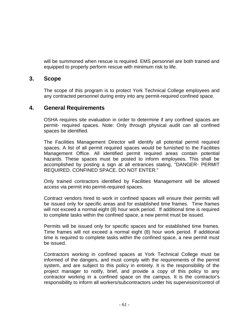will be summoned when rescue is required. EMS personnel are both trained and equipped to properly perform rescue with minimum risk to life.

### **3. Scope**

The scope of this program is to protect York Technical College employees and any contracted personnel during entry into any permit-required confined space.

### **4. General Requirements**

OSHA requires site evaluation in order to determine if any confined spaces are permit- required spaces. Note: Only through physical audit can all confined spaces be identified.

The Facilities Management Director will identify all potential permit required spaces. A list of all permit required spaces would be furnished to the Facilities Management Office. All identified permit required areas contain potential hazards. These spaces must be posted to inform employees. This shall be accomplished by posting a sign at all entrances stating, "DANGER- PERMIT REQUIRED. CONFINED SPACE. DO NOT ENTER."

Only trained contractors identified by Facilities Management will be allowed access via permit into permit-required spaces.

Contract vendors hired to work in confined spaces will ensure their permits will be issued only for specific areas and for established time frames. Time frames will not exceed a normal eight (8) hour work period. If additional time is required to complete tasks within the confined space, a new permit must be issued.

Permits will be issued only for specific spaces and for established time frames. Time frames will not exceed a normal eight (8) hour work period. If additional time is required to complete tasks within the confined space, a new permit must be issued.

Contractors working in confined spaces at York Technical College must be informed of the dangers, and must comply with the requirements of the permit system, and are subject to this policy in entirety. It is the responsibility of the project manager to notify, brief, and provide a copy of this policy to any contractor working in a confined space on the campus. It is the contractor's responsibility to inform all workers/subcontractors under his supervision/control of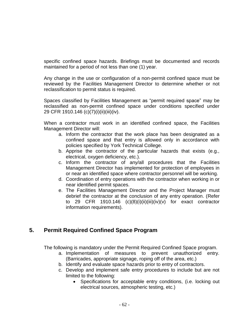specific confined space hazards. Briefings must be documented and records maintained for a period of not less than one (1) year.

Any change in the use or configuration of a non-permit confined space must be reviewed by the Facilities Management Director to determine whether or not reclassification to permit status is required.

Spaces classified by Facilities Management as "permit required space" may be reclassified as non-permit confined space under conditions specified under 29 CFR 1910.146 (c)(7)(i)(ii)(iii)(iv).

When a contractor must work in an identified confined space, the Facilities Management Director will:

- a. Inform the contractor that the work place has been designated as a confined space and that entry is allowed only in accordance with policies specified by York Technical College.
- b. Apprise the contractor of the particular hazards that exists (e.g., electrical, oxygen deficiency, etc.).
- c. Inform the contractor of any/all procedures that the Facilities Management Director has implemented for protection of employees in or near an identified space where contractor personnel will be working.
- d. Coordination of entry operations with the contractor when working in or near identified permit spaces.
- e. The Facilities Management Director and the Project Manager must debrief the contractor at the conclusion of any entry operation. (Refer to 29 CFR 1910.146  $(c)(8)(i)(ii)(iii)(iv)(v)$  for exact contractor information requirements).

## **5. Permit Required Confined Space Program**

The following is mandatory under the Permit Required Confined Space program.

- a. Implementation of measures to prevent unauthorized entry. (Barricades, appropriate signage, roping off of the area, etc.)
- b. Identify and evaluate space hazards prior to entry of contractors.
- c. Develop and implement safe entry procedures to include but are not limited to the following:
	- Specifications for acceptable entry conditions, (i.e. locking out electrical sources, atmospheric testing, etc.)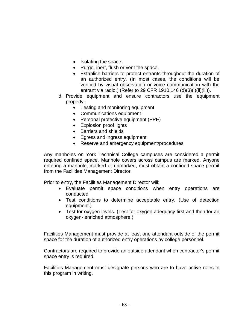- Isolating the space.
- Purge, inert, flush or vent the space.
- Establish barriers to protect entrants throughout the duration of an authorized entry. (In most cases, the conditions will be verified by visual observation or voice communication with the entrant via radio.) (Refer to 29 CFR 1910.146 (d)(3)(i)(ii)(iii)).
- d. Provide equipment and ensure contractors use the equipment properly.
	- Testing and monitoring equipment
	- Communications equipment
	- Personal protective equipment (PPE)
	- Explosion proof lights
	- Barriers and shields
	- Egress and ingress equipment
	- Reserve and emergency equipment/procedures

Any manholes on York Technical College campuses are considered a permit required confined space. Manhole covers across campus are marked. Anyone entering a manhole, marked or unmarked, must obtain a confined space permit from the Facilities Management Director.

Prior to entry, the Facilities Management Director will:

- Evaluate permit space conditions when entry operations are conducted.
- Test conditions to determine acceptable entry. (Use of detection equipment.)
- Test for oxygen levels. (Test for oxygen adequacy first and then for an oxygen- enriched atmosphere.)

Facilities Management must provide at least one attendant outside of the permit space for the duration of authorized entry operations by college personnel.

Contractors are required to provide an outside attendant when contractor's permit space entry is required.

Facilities Management must designate persons who are to have active roles in this program in writing.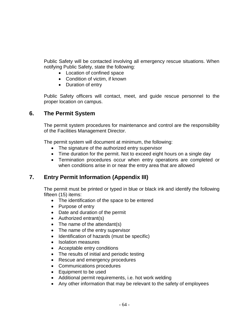Public Safety will be contacted involving all emergency rescue situations. When notifying Public Safety, state the following:

- Location of confined space
- Condition of victim, if known
- Duration of entry

Public Safety officers will contact, meet, and guide rescue personnel to the proper location on campus.

## **6. The Permit System**

The permit system procedures for maintenance and control are the responsibility of the Facilities Management Director.

The permit system will document at minimum, the following:

- The signature of the authorized entry supervisor
- Time duration for the permit. Not to exceed eight hours on a single day
- Termination procedures occur when entry operations are completed or when conditions arise in or near the entry area that are allowed

# **7. Entry Permit Information (Appendix III)**

The permit must be printed or typed in blue or black ink and identify the following fifteen (15) items:

- The identification of the space to be entered
- Purpose of entry
- Date and duration of the permit
- Authorized entrant(s)
- The name of the attendant(s)
- The name of the entry supervisor
- Identification of hazards (must be specific)
- Isolation measures
- Acceptable entry conditions
- The results of initial and periodic testing
- Rescue and emergency procedures
- Communications procedures
- Equipment to be used
- Additional permit requirements, i.e. hot work welding
- Any other information that may be relevant to the safety of employees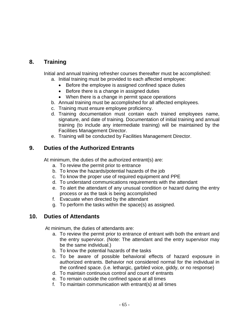# **8. Training**

Initial and annual training refresher courses thereafter must be accomplished:

- a. Initial training must be provided to each affected employee:
	- Before the employee is assigned confined space duties
	- Before there is a change in assigned duties
	- When there is a change in permit space operations
- b. Annual training must be accomplished for all affected employees.
- c. Training must ensure employee proficiency.
- d. Training documentation must contain each trained employees name, signature, and date of training. Documentation of initial training and annual training (to include any intermediate training) will be maintained by the Facilities Management Director.
- e. Training will be conducted by Facilities Management Director.

## **9. Duties of the Authorized Entrants**

At minimum, the duties of the authorized entrant(s) are:

- a. To review the permit prior to entrance
- b. To know the hazards/potential hazards of the job
- c. To know the proper use of required equipment and PPE
- d. To understand communications requirements with the attendant
- e. To alert the attendant of any unusual condition or hazard during the entry process or as the task is being accomplished
- f. Evacuate when directed by the attendant
- g. To perform the tasks within the space(s) as assigned.

## **10. Duties of Attendants**

At minimum, the duties of attendants are:

- a. To review the permit prior to entrance of entrant with both the entrant and the entry supervisor. (Note: The attendant and the entry supervisor may be the same individual.)
- b. To know the potential hazards of the tasks
- c. To be aware of possible behavioral effects of hazard exposure in authorized entrants. Behavior not considered normal for the individual in the confined space. (i.e. lethargic, garbled voice, giddy, or no response)
- d. To maintain continuous control and count of entrants
- e. To remain outside the confined space at all times
- f. To maintain communication with entrant(s) at all times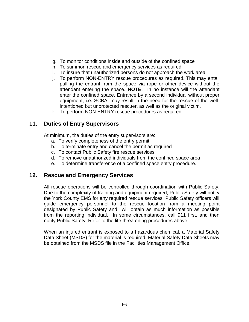- g. To monitor conditions inside and outside of the confined space
- h. To summon rescue and emergency services as required
- i. To insure that unauthorized persons do not approach the work area
- j. To perform NON-ENTRY rescue procedures as required. This may entail pulling the entrant from the space via rope or other device without the attendant entering the space. **NOTE:** In no instance will the attendant enter the confined space. Entrance by a second individual without proper equipment, i.e. SCBA, may result in the need for the rescue of the wellintentioned but unprotected rescuer, as well as the original victim.
- k. To perform NON-ENTRY rescue procedures as required.

## **11. Duties of Entry Supervisors**

At minimum, the duties of the entry supervisors are:

- a. To verify completeness of the entry permit
- b. To terminate entry and cancel the permit as required
- c. To contact Public Safety fire rescue services
- d. To remove unauthorized individuals from the confined space area
- e. To determine transference of a confined space entry procedure.

### **12. Rescue and Emergency Services**

All rescue operations will be controlled through coordination with Public Safety. Due to the complexity of training and equipment required, Public Safety will notify the York County EMS for any required rescue services. Public Safety officers will guide emergency personnel to the rescue location from a meeting point designated by Public Safety and will obtain as much information as possible from the reporting individual. In some circumstances, call 911 first, and then notify Public Safety. Refer to the life threatening procedures above.

When an injured entrant is exposed to a hazardous chemical, a Material Safety Data Sheet (MSDS) for the material is required. Material Safety Data Sheets may be obtained from the MSDS file in the Facilities Management Office.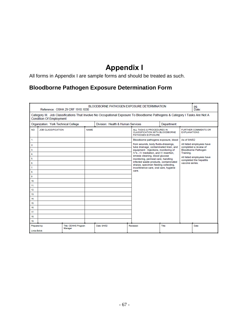# **Appendix I**

All forms in Appendix I are sample forms and should be treated as such.

# **Bloodborne Pathogen Exposure Determination Form**

|                                     | BLOODBORNE PATHOGEN EXPOSURE DETERMINATION<br>pg.<br>Reference: OSHA 29 CRF 1910.1030<br>Date:                                                                 |                                  |             |                                                                                         |  |                                                                                                                                                                                                                                                                                                                                                                                                                                   |               |  |       |
|-------------------------------------|----------------------------------------------------------------------------------------------------------------------------------------------------------------|----------------------------------|-------------|-----------------------------------------------------------------------------------------|--|-----------------------------------------------------------------------------------------------------------------------------------------------------------------------------------------------------------------------------------------------------------------------------------------------------------------------------------------------------------------------------------------------------------------------------------|---------------|--|-------|
|                                     | Category III. Job Classifications That Involve No Occupational Exposure To Bloodborne Pathogens & Category I Tasks Are Not A<br><b>Condition Of Employment</b> |                                  |             |                                                                                         |  |                                                                                                                                                                                                                                                                                                                                                                                                                                   |               |  |       |
|                                     | Organization: York Technical College                                                                                                                           |                                  |             | Division: Health & Human Services                                                       |  |                                                                                                                                                                                                                                                                                                                                                                                                                                   | Department:   |  |       |
| <b>NO</b>                           | <b>JOB CLASSIFICATION</b>                                                                                                                                      |                                  | <b>NAME</b> | ALL TASKS & PROCEDURES IN<br><b>CLASSIFICATION WITH BLOODBORNE</b><br>PATHOGEN EXPOSURE |  | <b>FURTHER COMMENTS OR</b><br><b>EXPLANATIONS</b>                                                                                                                                                                                                                                                                                                                                                                                 |               |  |       |
| 1.                                  |                                                                                                                                                                |                                  |             |                                                                                         |  | As of 9/4/02<br>Bloodborne pathogens exposure, blood                                                                                                                                                                                                                                                                                                                                                                              |               |  |       |
| 2.                                  |                                                                                                                                                                |                                  |             |                                                                                         |  | from wounds, body fluids-dressings,<br>All listed employees have                                                                                                                                                                                                                                                                                                                                                                  |               |  |       |
| 3.                                  |                                                                                                                                                                |                                  |             |                                                                                         |  | tube drainage, contaminated linen, and<br>completed a review of<br>equipment . Injections, monitoring of<br><b>Bloodborne Pathogen</b><br>IV's - IV mediation, and IV insertion,<br>Training.<br>emesis cleaning, blood glucose<br>All listed employees have<br>monitoring, perineal care, handling<br>completed the hepatitis<br>infected waste products, contaminated<br>vaccine series<br>sharps, specimen feeding collecting, |               |  |       |
| 4.                                  |                                                                                                                                                                |                                  |             |                                                                                         |  |                                                                                                                                                                                                                                                                                                                                                                                                                                   |               |  |       |
| 5.                                  |                                                                                                                                                                |                                  |             |                                                                                         |  |                                                                                                                                                                                                                                                                                                                                                                                                                                   |               |  |       |
| 6.                                  |                                                                                                                                                                |                                  |             |                                                                                         |  |                                                                                                                                                                                                                                                                                                                                                                                                                                   |               |  |       |
| 7.                                  |                                                                                                                                                                |                                  |             |                                                                                         |  | incontinence care, oral care, hygiene<br>care.                                                                                                                                                                                                                                                                                                                                                                                    |               |  |       |
| 8.                                  |                                                                                                                                                                |                                  |             |                                                                                         |  |                                                                                                                                                                                                                                                                                                                                                                                                                                   |               |  |       |
| o                                   |                                                                                                                                                                |                                  |             |                                                                                         |  |                                                                                                                                                                                                                                                                                                                                                                                                                                   |               |  |       |
| 10.                                 |                                                                                                                                                                |                                  |             |                                                                                         |  |                                                                                                                                                                                                                                                                                                                                                                                                                                   |               |  |       |
| 11.<br>12.                          |                                                                                                                                                                |                                  |             |                                                                                         |  |                                                                                                                                                                                                                                                                                                                                                                                                                                   |               |  |       |
| 13.                                 |                                                                                                                                                                |                                  |             |                                                                                         |  |                                                                                                                                                                                                                                                                                                                                                                                                                                   |               |  |       |
| 14.                                 |                                                                                                                                                                |                                  |             |                                                                                         |  |                                                                                                                                                                                                                                                                                                                                                                                                                                   |               |  |       |
| 15.                                 |                                                                                                                                                                |                                  |             |                                                                                         |  |                                                                                                                                                                                                                                                                                                                                                                                                                                   |               |  |       |
| 16.                                 |                                                                                                                                                                |                                  |             |                                                                                         |  |                                                                                                                                                                                                                                                                                                                                                                                                                                   |               |  |       |
| 17.                                 |                                                                                                                                                                |                                  |             |                                                                                         |  |                                                                                                                                                                                                                                                                                                                                                                                                                                   |               |  |       |
| 18.                                 |                                                                                                                                                                |                                  |             |                                                                                         |  |                                                                                                                                                                                                                                                                                                                                                                                                                                   |               |  |       |
| 19.                                 |                                                                                                                                                                |                                  |             |                                                                                         |  |                                                                                                                                                                                                                                                                                                                                                                                                                                   |               |  |       |
| Prepared by:<br><b>Linda Bolick</b> |                                                                                                                                                                | Title: CE/HHS Program<br>Manager |             | Date: 9/4/02                                                                            |  | Reviewed:                                                                                                                                                                                                                                                                                                                                                                                                                         | <b>Title:</b> |  | Date: |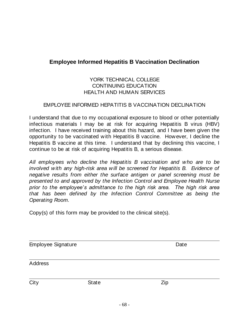# **Employee Informed Hepatitis B Vaccination Declination**

### YORK TECHNICAL COLLEGE CONTINUING EDUCATION HEALTH AND HUMAN SERVICES

### EMPLOYEE INFORMED HEPATITIS B VACCINATION DECLINATION

I understand that due to my occupational exposure to blood or other potentially infectious materials I may be at risk for acquiring Hepatitis B virus (HBV) infection. I have received training about this hazard, and I have been given the opportunity to be vaccinated with Hepatitis B vaccine. However, I decline the Hepatitis B vaccine at this time. I understand that by declining this vaccine, I continue to be at risk of acquiring Hepatitis B, a serious disease.

*All employees who decline the Hepatitis B vaccination and who are to be involved with any high-risk area will be screened for Hepatitis B. Evidence of negative results from either the surface antigen or panel screening must be presented to and approved by the Infection Control and Employee Health Nurse prior to the employee's admittance to the high risk area. The high risk area that has been defined by the Infection Control Committee as being the Operating Room.*

Copy(s) of this form may be provided to the clinical site(s).

| <b>Employee Signature</b> |              | Date |  |  |  |
|---------------------------|--------------|------|--|--|--|
| Address                   |              |      |  |  |  |
| City                      | <b>State</b> | Zip  |  |  |  |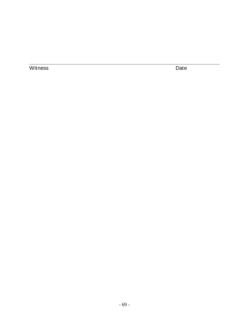Witness Date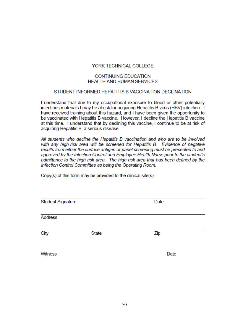### **YORK TECHNICAL COLLEGE**

#### **CONTINUING EDUCATION HEALTH AND HUMAN SERVICES**

### STUDENT INFORMED HEPATITIS B VACCINATION DECLINATION

I understand that due to my occupational exposure to blood or other potentially infectious materials I may be at risk for acquiring Hepatitis B virus (HBV) infection. I have received training about this hazard, and I have been given the opportunity to be vaccinated with Hepatitis B vaccine. However, I decline the Hepatitis B vaccine at this time. I understand that by declining this vaccine. I continue to be at risk of acquiring Hepatitis B, a serious disease.

All students who decline the Hepatitis B vaccination and who are to be involved with any high-risk area will be screened for Hepatitis B. Evidence of negative results from either the surface antigen or panel screening must be presented to and approved by the Infection Control and Employee Health Nurse prior to the student's admittance to the high risk area. The high risk area that has been defined by the Infection Control Committee as being the Operating Room.

Copy(s) of this form may be provided to the clinical site(s).

| <b>Student Signature</b> |              | Date |  |  |
|--------------------------|--------------|------|--|--|
| <b>Address</b>           |              |      |  |  |
| City                     | <b>State</b> | Zip  |  |  |
| Witness                  |              | Date |  |  |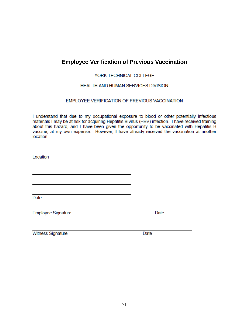# **Employee Verification of Previous Vaccination**

### YORK TECHNICAL COLLEGE

### HEALTH AND HUMAN SERVICES DIVISION

### EMPLOYEE VERIFICATION OF PREVIOUS VACCINATION

I understand that due to my occupational exposure to blood or other potentially infectious materials I may be at risk for acquiring Hepatitis B virus (HBV) infection. I have received training about this hazard, and I have been given the opportunity to be vaccinated with Hepatitis B vaccine, at my own expense. However, I have already received the vaccination at another location.

Location

Date

**Employee Signature** 

Date

Witness Signature

Date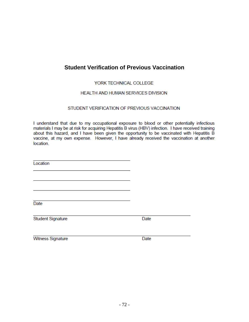## **Student Verification of Previous Vaccination**

### YORK TECHNICAL COLLEGE

### HEALTH AND HUMAN SERVICES DIVISION

### STUDENT VERIFICATION OF PREVIOUS VACCINATION

I understand that due to my occupational exposure to blood or other potentially infectious materials I may be at risk for acquiring Hepatitis B virus (HBV) infection. I have received training about this hazard, and I have been given the opportunity to be vaccinated with Hepatitis B vaccine, at my own expense. However, I have already received the vaccination at another location.

Location

Date

**Student Signature** 

Date

**Witness Signature** 

Date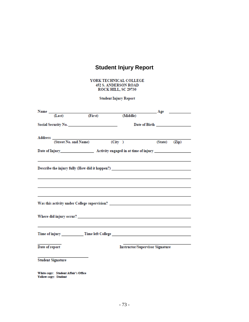## **Student Injury Report**

YORK TECHNICAL COLLEGE 452 S. ANDERSON ROAD ROCK HILL, SC 29730

**Student Injury Report** 

|                | Name ________________________       |         |        |          | $\overline{\phantom{a}}$ $\overline{\phantom{a}}$ $\overline{\phantom{a}}$ $\overline{\phantom{a}}$ $\overline{\phantom{a}}$ $\overline{\phantom{a}}$ $\overline{\phantom{a}}$ $\overline{\phantom{a}}$ $\overline{\phantom{a}}$ $\overline{\phantom{a}}$ $\overline{\phantom{a}}$ $\overline{\phantom{a}}$ $\overline{\phantom{a}}$ $\overline{\phantom{a}}$ $\overline{\phantom{a}}$ $\overline{\phantom{a}}$ $\overline{\phantom{a}}$ $\overline{\phantom{a}}$ $\overline{\$ |       |
|----------------|-------------------------------------|---------|--------|----------|---------------------------------------------------------------------------------------------------------------------------------------------------------------------------------------------------------------------------------------------------------------------------------------------------------------------------------------------------------------------------------------------------------------------------------------------------------------------------------|-------|
|                | (Last)                              | (First) |        | (Middle) |                                                                                                                                                                                                                                                                                                                                                                                                                                                                                 |       |
|                |                                     |         |        |          | Date of Birth <b>Exercise 2</b>                                                                                                                                                                                                                                                                                                                                                                                                                                                 |       |
|                |                                     |         |        |          |                                                                                                                                                                                                                                                                                                                                                                                                                                                                                 |       |
|                | Address (Street No. and Name)       |         | (City) |          | (State)                                                                                                                                                                                                                                                                                                                                                                                                                                                                         | (Zip) |
|                |                                     |         |        |          |                                                                                                                                                                                                                                                                                                                                                                                                                                                                                 |       |
|                |                                     |         |        |          |                                                                                                                                                                                                                                                                                                                                                                                                                                                                                 |       |
|                |                                     |         |        |          | Describe the injury fully (How did it happen?) __________________________________                                                                                                                                                                                                                                                                                                                                                                                               |       |
|                |                                     |         |        |          |                                                                                                                                                                                                                                                                                                                                                                                                                                                                                 |       |
|                |                                     |         |        |          |                                                                                                                                                                                                                                                                                                                                                                                                                                                                                 |       |
|                |                                     |         |        |          |                                                                                                                                                                                                                                                                                                                                                                                                                                                                                 |       |
|                |                                     |         |        |          |                                                                                                                                                                                                                                                                                                                                                                                                                                                                                 |       |
|                |                                     |         |        |          | Was this activity under College supervision? ___________________________________                                                                                                                                                                                                                                                                                                                                                                                                |       |
|                |                                     |         |        |          |                                                                                                                                                                                                                                                                                                                                                                                                                                                                                 |       |
|                |                                     |         |        |          |                                                                                                                                                                                                                                                                                                                                                                                                                                                                                 |       |
|                |                                     |         |        |          |                                                                                                                                                                                                                                                                                                                                                                                                                                                                                 |       |
|                |                                     |         |        |          |                                                                                                                                                                                                                                                                                                                                                                                                                                                                                 |       |
|                |                                     |         |        |          |                                                                                                                                                                                                                                                                                                                                                                                                                                                                                 |       |
|                |                                     |         |        |          |                                                                                                                                                                                                                                                                                                                                                                                                                                                                                 |       |
| Date of report |                                     |         |        |          | <b>Instructor/Supervisor Signature</b>                                                                                                                                                                                                                                                                                                                                                                                                                                          |       |
|                |                                     |         |        |          |                                                                                                                                                                                                                                                                                                                                                                                                                                                                                 |       |
|                | <b>Student Signature</b>            |         |        |          |                                                                                                                                                                                                                                                                                                                                                                                                                                                                                 |       |
|                |                                     |         |        |          |                                                                                                                                                                                                                                                                                                                                                                                                                                                                                 |       |
|                | White copy: Student Affair's Office |         |        |          |                                                                                                                                                                                                                                                                                                                                                                                                                                                                                 |       |

Yellow copy: Student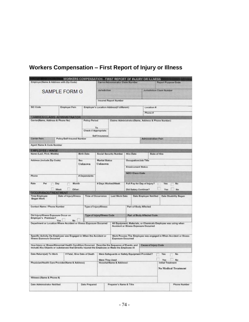## **Workers Compensation – First Report of Injury or Illness**

| Employer(Name & Address with Zip Code)                                                                                                                                                          | WORKERS COMPENSATION - FIRST REPORT OF INJURY OR ILLNESS |                       |                                                                 | Carrier/Administrator Chaim Number        |                                                  |                                       |                                                                                                                                                                                                                                                                                                                                                                                                                                                                                              |              |
|-------------------------------------------------------------------------------------------------------------------------------------------------------------------------------------------------|----------------------------------------------------------|-----------------------|-----------------------------------------------------------------|-------------------------------------------|--------------------------------------------------|---------------------------------------|----------------------------------------------------------------------------------------------------------------------------------------------------------------------------------------------------------------------------------------------------------------------------------------------------------------------------------------------------------------------------------------------------------------------------------------------------------------------------------------------|--------------|
|                                                                                                                                                                                                 | SAMPLE FORM G                                            |                       | Jurisdiction                                                    |                                           |                                                  |                                       |                                                                                                                                                                                                                                                                                                                                                                                                                                                                                              |              |
|                                                                                                                                                                                                 |                                                          |                       |                                                                 | <b>Insured Report Number</b>              |                                                  |                                       |                                                                                                                                                                                                                                                                                                                                                                                                                                                                                              |              |
| SIC Code                                                                                                                                                                                        | <b>Employer Fein</b>                                     |                       |                                                                 | Employer's Location Address(If different) |                                                  |                                       |                                                                                                                                                                                                                                                                                                                                                                                                                                                                                              |              |
|                                                                                                                                                                                                 |                                                          |                       |                                                                 |                                           |                                                  | Phone #                               |                                                                                                                                                                                                                                                                                                                                                                                                                                                                                              |              |
| CARRIER/CLAIMS ADMINISTRATOR<br>Carrier(Name, Address & Phone No)                                                                                                                               |                                                          | Policy Period         |                                                                 |                                           |                                                  |                                       | <b>Report Purpose Code</b><br>Jurisdiction Claim Number<br>Location #:<br>Claims Administrato (Name, Address & Phone Number)<br><b>Administration Fein</b><br>State of Hire<br>Yes<br>Yes<br>Date Employer Notified<br>Date Disability Began<br>All Equipment, Materials, or Chemicals Employee was using when<br>Work Process The Employee was engaged in When Accident or Illness<br>Cause of Injury Code<br>Yes<br>Yes:<br>-No<br><b>Initial Treatment</b><br><b>No Medical Treatment</b> |              |
|                                                                                                                                                                                                 |                                                          | Check if Appropriate  | To<br>Self Insurance                                            |                                           |                                                  |                                       |                                                                                                                                                                                                                                                                                                                                                                                                                                                                                              |              |
| <b>Carrier Fein</b>                                                                                                                                                                             | Policy/Self-Insured Number                               |                       |                                                                 |                                           |                                                  |                                       |                                                                                                                                                                                                                                                                                                                                                                                                                                                                                              |              |
| Agent Name & Code Number                                                                                                                                                                        |                                                          |                       |                                                                 |                                           |                                                  |                                       |                                                                                                                                                                                                                                                                                                                                                                                                                                                                                              |              |
| <b>EMPLOYEE / WAGE</b><br>Name (Last, First, Middle)                                                                                                                                            |                                                          | Birth Date            |                                                                 | Social Security Number                    | Hire Date                                        |                                       |                                                                                                                                                                                                                                                                                                                                                                                                                                                                                              |              |
| Address (include Zip Code)                                                                                                                                                                      |                                                          | <b>Sex</b><br>Unknown | <b>Marital Status</b><br>Unknown                                |                                           | Occupation/Job Title<br><b>Employment Status</b> |                                       |                                                                                                                                                                                                                                                                                                                                                                                                                                                                                              |              |
|                                                                                                                                                                                                 |                                                          |                       |                                                                 |                                           | <b>NCCI Class Code</b>                           |                                       |                                                                                                                                                                                                                                                                                                                                                                                                                                                                                              |              |
| Phone                                                                                                                                                                                           |                                                          | <b># Dependants</b>   |                                                                 |                                           |                                                  |                                       |                                                                                                                                                                                                                                                                                                                                                                                                                                                                                              |              |
| Rate<br>Pet<br>Day<br>Week                                                                                                                                                                      | Month<br>Other:                                          |                       | # Days Worked/Week                                              |                                           | Did Salary Continue?                             | Full Pay for Day of Injury?           |                                                                                                                                                                                                                                                                                                                                                                                                                                                                                              | No<br>No     |
| <b>GCCURANCE/TREATMENT</b><br><b>Time Employee</b>                                                                                                                                              |                                                          |                       | <b>Time of Occurrence</b>                                       | Last Work Date                            |                                                  |                                       |                                                                                                                                                                                                                                                                                                                                                                                                                                                                                              |              |
| Began Work                                                                                                                                                                                      | Date of Injury/Illness                                   |                       |                                                                 |                                           |                                                  |                                       |                                                                                                                                                                                                                                                                                                                                                                                                                                                                                              |              |
| Contact Name / Phone Number                                                                                                                                                                     |                                                          |                       | Type of Injury/Illness                                          |                                           | Part of Body Affected                            |                                       |                                                                                                                                                                                                                                                                                                                                                                                                                                                                                              |              |
| Did Injury/Illness Exposure Occur on<br><b>Employer's Premises?</b>                                                                                                                             |                                                          |                       | Type of injury/illness Code                                     |                                           |                                                  | Part of Body Affected Code            |                                                                                                                                                                                                                                                                                                                                                                                                                                                                                              |              |
| Department or Location Where Accident or Illness Exposure Occurred                                                                                                                              | No                                                       |                       |                                                                 |                                           |                                                  | Accident or Illness Exposure Occurred |                                                                                                                                                                                                                                                                                                                                                                                                                                                                                              |              |
| Specific Activity the Employee was Engaged in When the Accident or<br>Illness Exposure Occurred                                                                                                 |                                                          |                       |                                                                 | Exposure Occurred                         |                                                  |                                       |                                                                                                                                                                                                                                                                                                                                                                                                                                                                                              |              |
| How Injury or Illness/Abnormal Health Condition Occurred. Describe the Sequence of Events: and<br>Include Any Objects or substances that Directly injured the Employee or Made the Employee III |                                                          |                       |                                                                 |                                           |                                                  |                                       |                                                                                                                                                                                                                                                                                                                                                                                                                                                                                              |              |
| Date Return(ed) To Work                                                                                                                                                                         | If Fatal, Give Date of Death                             |                       | Were Safeguards or Safety Equipment Provided?<br>Were They Used |                                           |                                                  |                                       |                                                                                                                                                                                                                                                                                                                                                                                                                                                                                              | No           |
| Physician/Health Care Provider(Name & Address)                                                                                                                                                  |                                                          |                       |                                                                 | Hospital/Name & Address)                  |                                                  |                                       |                                                                                                                                                                                                                                                                                                                                                                                                                                                                                              |              |
| Witness (Name & Phone #)                                                                                                                                                                        |                                                          |                       |                                                                 |                                           |                                                  |                                       |                                                                                                                                                                                                                                                                                                                                                                                                                                                                                              |              |
| Date Administrator Notified                                                                                                                                                                     |                                                          | Date Prepared         |                                                                 | Preparer's Name & Title                   |                                                  |                                       |                                                                                                                                                                                                                                                                                                                                                                                                                                                                                              | Phone Number |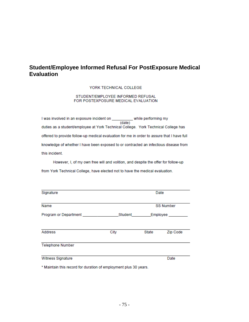## **Student/Employee Informed Refusal For PostExposure Medical Evaluation**

#### YORK TECHNICAL COLLEGE

#### STUDENT/EMPLOYEE INFORMED REFUSAL FOR POSTEXPOSURE MEDICAL EVALUATION

(date)<br>(date) I was involved in an exposure incident on \_\_\_\_ duties as a student/employee at York Technical College. York Technical College has offered to provide follow-up medical evaluation for me in order to assure that I have full knowledge of whether I have been exposed to or contracted an infectious disease from this incident.

However, I, of my own free will and volition, and despite the offer for follow-up from York Technical College, have elected not to have the medical evaluation.

| Signature                                                        |         | Date  |                  |  |
|------------------------------------------------------------------|---------|-------|------------------|--|
| Name                                                             |         |       | <b>SS Number</b> |  |
| Program or Department                                            | Student |       | Employee         |  |
| <b>Address</b>                                                   | City    | State | Zip Code         |  |
| <b>Telephone Number</b>                                          |         |       |                  |  |
| Witness Signature                                                |         |       | Date             |  |
| * Maintain this record for duration of employment plus 30 years. |         |       |                  |  |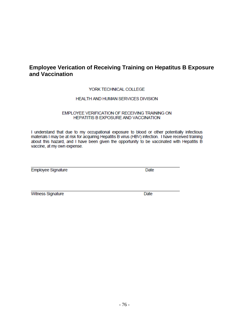## **Employee Verication of Receiving Training on Hepatitus B Exposure** and Vaccination

## YORK TECHNICAL COLLEGE

### HEALTH AND HUMAN SERVICES DIVISION

### EMPLOYEE VERIFICATION OF RECEIVING TRAINING ON HEPATITIS B EXPOSURE AND VACCINATION

I understand that due to my occupational exposure to blood or other potentially infectious materials I may be at risk for acquiring Hepatitis B virus (HBV) infection. I have received training about this hazard, and I have been given the opportunity to be vaccinated with Hepatitis B vaccine, at my own expense.

Employee Signature

Date

**Witness Signature** 

Date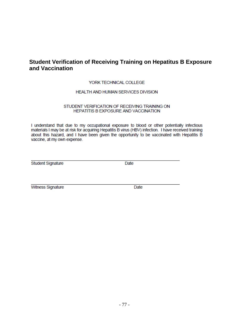## **Student Verification of Receiving Training on Hepatitus B Exposure** and Vaccination

### YORK TECHNICAL COLLEGE

### HEALTH AND HUMAN SERVICES DIVISION

#### STUDENT VERIFICATION OF RECEIVING TRAINING ON HEPATITIS B EXPOSURE AND VACCINATION

I understand that due to my occupational exposure to blood or other potentially infectious materials I may be at risk for acquiring Hepatitis B virus (HBV) infection. I have received training about this hazard, and I have been given the opportunity to be vaccinated with Hepatitis B vaccine, at my own expense.

**Student Signature** 

Date

Witness Signature

Date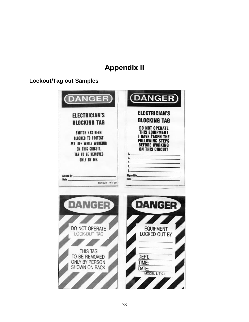# **Appendix II**

## **Lockout/Tag out Samples**

| <b>DANGER</b>                                                                                                                                                                                                             | <b>DANGER</b>                                                                                                                                                                                                                                                |
|---------------------------------------------------------------------------------------------------------------------------------------------------------------------------------------------------------------------------|--------------------------------------------------------------------------------------------------------------------------------------------------------------------------------------------------------------------------------------------------------------|
| <b>ELECTRICIAN'S</b><br><b>BLOCKING TAG</b><br>SWITCH HAS BEEM<br><b>BLOCKED TO PROTECT</b><br><b>MY LIFE WHILE WORKING</b><br>ON THIS CIRCUIT.<br><b>TAG TO BE REMOVED</b><br>ONLY BY ME.<br>Signed By<br>PANDUIT PVT-30 | <b>ELECTRICIAN'S</b><br><b>BLOCKING TAG</b><br><b>DO NOT OPERATE</b><br>THIS EOUIPMENT<br><b>HAVE TAKEN THE</b><br>FOLLOWING STEPS<br><b>BEFORE WORKING</b><br><b>ON THIS CIRCUIT</b><br>$\mathbf{L}$<br>$\overline{2}$<br>$5 -$<br>Signed By<br><b>Date</b> |
| <b>DANGER</b>                                                                                                                                                                                                             | <b>DANGER</b>                                                                                                                                                                                                                                                |
| DO NOT OPERATE<br>LOCK-OUT TAG                                                                                                                                                                                            | <b>EQUIPMENT</b><br>LOCKED OUT BY                                                                                                                                                                                                                            |
| THIS TAG<br>TO BE REMOVED<br><b>ONLY BY PERSON</b><br><b>SHOWN ON BACK</b>                                                                                                                                                | DEPT.<br>TIME:<br>DATE:<br>MODEL L-T10-1                                                                                                                                                                                                                     |